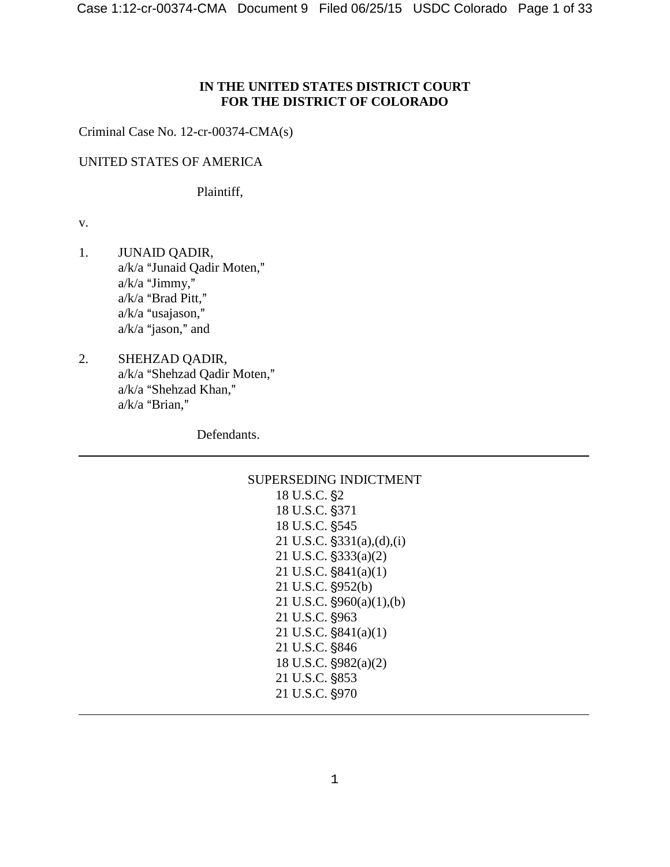### **IN THE UNITED STATES DISTRICT COURT FOR THE DISTRICT OF COLORADO**

Criminal Case No. 12-cr-00374-CMA(s)

### UNITED STATES OF AMERICA

Plaintiff,

v.

 $\overline{a}$ 

 $\overline{a}$ 

- 1. JUNAID QADIR, a/k/a "Junaid Qadir Moten,"  $a/k/a$  "Jimmy,"  $a/k/a$  "Brad Pitt,"  $a/k/a$  "usajason,"  $a/k/a$  "jason," and
- 2. SHEHZAD QADIR, a/k/a "Shehzad Qadir Moten,"  $a/k/a$  "Shehzad Khan,"  $a/k/a$  "Brian,"

Defendants.

# SUPERSEDING INDICTMENT 18 U.S.C. §2 18 U.S.C. §371

18 U.S.C. §545 21 U.S.C.  $\S 331(a),(d),(i)$  $21$  U.S.C.  $$333(a)(2)$ 21 U.S.C.  $$841(a)(1)$  $21$  U.S.C.  $\S 952(b)$ 21 U.S.C.  $\frac{6}{960(a)(1)}$ , (b) 21 U.S.C. §963 21 U.S.C.  $$841(a)(1)$ 21 U.S.C. §846 18 U.S.C.  $\frac{6982(a)}{2}$ 21 U.S.C. §853 21 U.S.C. §970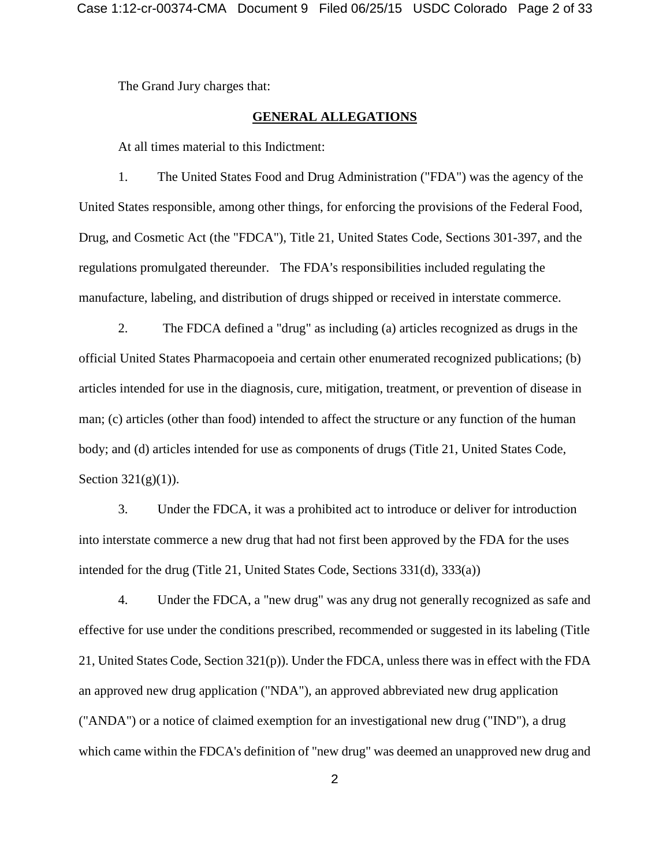The Grand Jury charges that:

#### **GENERAL ALLEGATIONS**

At all times material to this Indictment:

1. The United States Food and Drug Administration ("FDA") was the agency of the United States responsible, among other things, for enforcing the provisions of the Federal Food, Drug, and Cosmetic Act (the "FDCA"), Title 21, United States Code, Sections 301-397, and the regulations promulgated thereunder. The FDA's responsibilities included regulating the manufacture, labeling, and distribution of drugs shipped or received in interstate commerce.

2. The FDCA defined a "drug" as including (a) articles recognized as drugs in the official United States Pharmacopoeia and certain other enumerated recognized publications; (b) articles intended for use in the diagnosis, cure, mitigation, treatment, or prevention of disease in man; (c) articles (other than food) intended to affect the structure or any function of the human body; and (d) articles intended for use as components of drugs (Title 21, United States Code, Section  $321(g)(1)$ ).

3. Under the FDCA, it was a prohibited act to introduce or deliver for introduction into interstate commerce a new drug that had not first been approved by the FDA for the uses intended for the drug (Title 21, United States Code, Sections 331(d), 333(a))

4. Under the FDCA, a "new drug" was any drug not generally recognized as safe and effective for use under the conditions prescribed, recommended or suggested in its labeling (Title 21, United States Code, Section 321(p)). Under the FDCA, unless there was in effect with the FDA an approved new drug application ("NDA"), an approved abbreviated new drug application ("ANDA") or a notice of claimed exemption for an investigational new drug ("IND"), a drug which came within the FDCA's definition of "new drug" was deemed an unapproved new drug and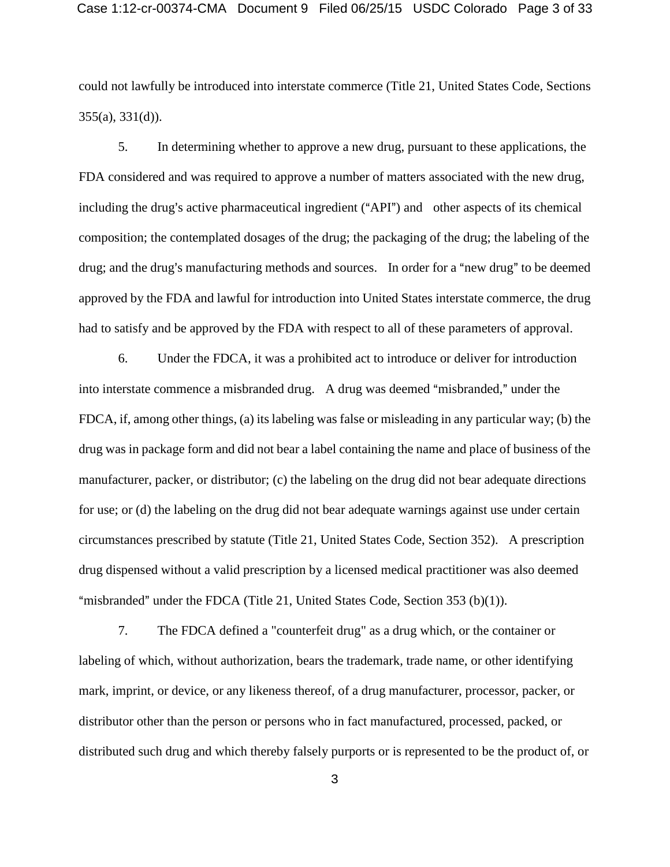could not lawfully be introduced into interstate commerce (Title 21, United States Code, Sections 355(a), 331(d)).

5. In determining whether to approve a new drug, pursuant to these applications, the FDA considered and was required to approve a number of matters associated with the new drug, including the drug's active pharmaceutical ingredient ("API") and other aspects of its chemical composition; the contemplated dosages of the drug; the packaging of the drug; the labeling of the drug; and the drug's manufacturing methods and sources. In order for a "new drug" to be deemed approved by the FDA and lawful for introduction into United States interstate commerce, the drug had to satisfy and be approved by the FDA with respect to all of these parameters of approval.

6. Under the FDCA, it was a prohibited act to introduce or deliver for introduction into interstate commence a misbranded drug. A drug was deemed "misbranded," under the FDCA, if, among other things, (a) its labeling was false or misleading in any particular way; (b) the drug was in package form and did not bear a label containing the name and place of business of the manufacturer, packer, or distributor; (c) the labeling on the drug did not bear adequate directions for use; or (d) the labeling on the drug did not bear adequate warnings against use under certain circumstances prescribed by statute (Title 21, United States Code, Section 352). A prescription drug dispensed without a valid prescription by a licensed medical practitioner was also deemed "misbranded" under the FDCA (Title 21, United States Code, Section 353 (b)(1)).

7. The FDCA defined a "counterfeit drug" as a drug which, or the container or labeling of which, without authorization, bears the trademark, trade name, or other identifying mark, imprint, or device, or any likeness thereof, of a drug manufacturer, processor, packer, or distributor other than the person or persons who in fact manufactured, processed, packed, or distributed such drug and which thereby falsely purports or is represented to be the product of, or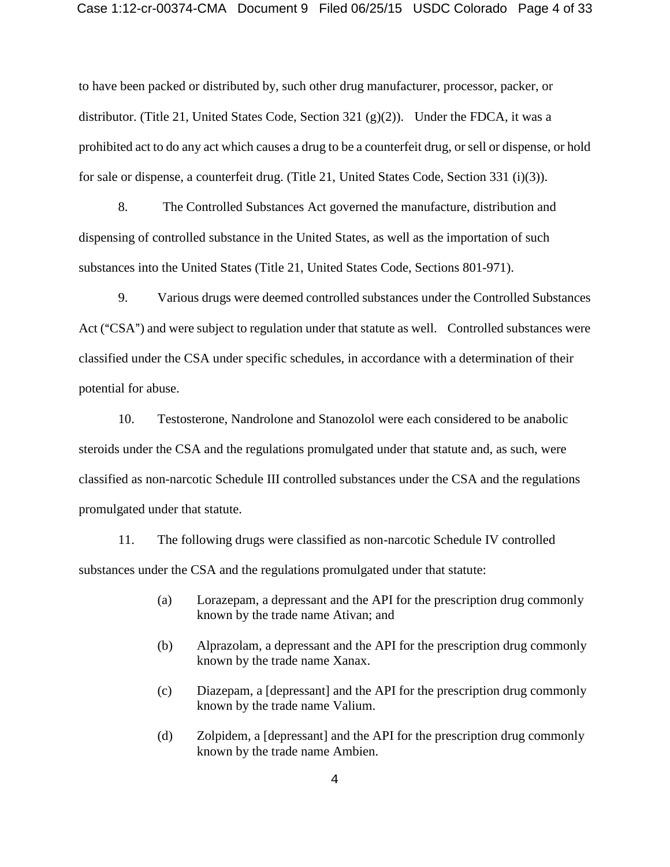#### Case 1:12-cr-00374-CMA Document 9 Filed 06/25/15 USDC Colorado Page 4 of 33

to have been packed or distributed by, such other drug manufacturer, processor, packer, or distributor. (Title 21, United States Code, Section 321 (g)(2)). Under the FDCA, it was a prohibited act to do any act which causes a drug to be a counterfeit drug, or sell or dispense, or hold for sale or dispense, a counterfeit drug. (Title 21, United States Code, Section 331 (i)(3)).

8. The Controlled Substances Act governed the manufacture, distribution and dispensing of controlled substance in the United States, as well as the importation of such substances into the United States (Title 21, United States Code, Sections 801-971).

9. Various drugs were deemed controlled substances under the Controlled Substances Act ("CSA") and were subject to regulation under that statute as well. Controlled substances were classified under the CSA under specific schedules, in accordance with a determination of their potential for abuse.

10. Testosterone, Nandrolone and Stanozolol were each considered to be anabolic steroids under the CSA and the regulations promulgated under that statute and, as such, were classified as non-narcotic Schedule III controlled substances under the CSA and the regulations promulgated under that statute.

11. The following drugs were classified as non-narcotic Schedule IV controlled substances under the CSA and the regulations promulgated under that statute:

- (a) Lorazepam, a depressant and the API for the prescription drug commonly known by the trade name Ativan; and
- (b) Alprazolam, a depressant and the API for the prescription drug commonly known by the trade name Xanax.
- (c) Diazepam, a [depressant] and the API for the prescription drug commonly known by the trade name Valium.
- (d) Zolpidem, a [depressant] and the API for the prescription drug commonly known by the trade name Ambien.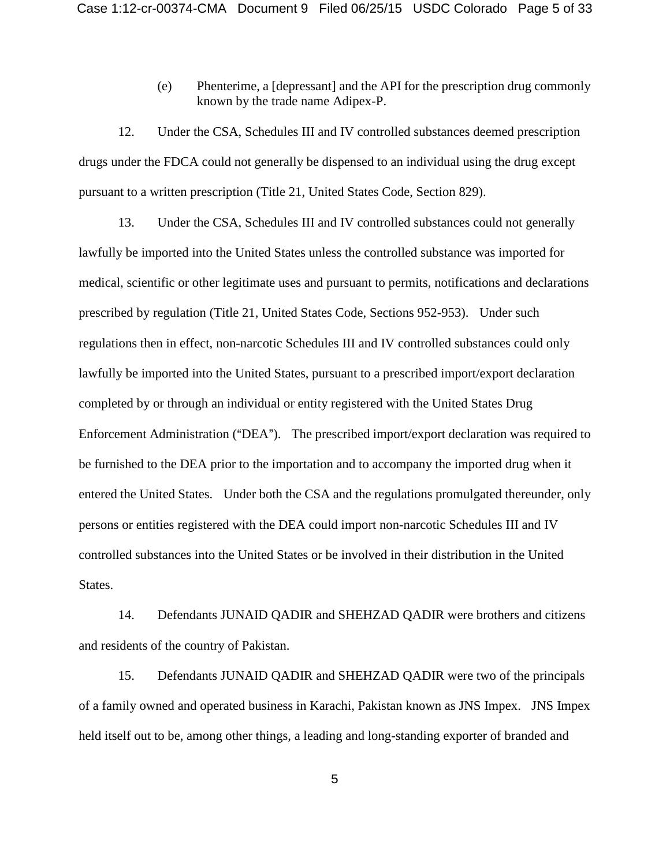(e) Phenterime, a [depressant] and the API for the prescription drug commonly known by the trade name Adipex-P.

12. Under the CSA, Schedules III and IV controlled substances deemed prescription drugs under the FDCA could not generally be dispensed to an individual using the drug except pursuant to a written prescription (Title 21, United States Code, Section 829).

13. Under the CSA, Schedules III and IV controlled substances could not generally lawfully be imported into the United States unless the controlled substance was imported for medical, scientific or other legitimate uses and pursuant to permits, notifications and declarations prescribed by regulation (Title 21, United States Code, Sections 952-953). Under such regulations then in effect, non-narcotic Schedules III and IV controlled substances could only lawfully be imported into the United States, pursuant to a prescribed import/export declaration completed by or through an individual or entity registered with the United States Drug Enforcement Administration ("DEA"). The prescribed import/export declaration was required to be furnished to the DEA prior to the importation and to accompany the imported drug when it entered the United States. Under both the CSA and the regulations promulgated thereunder, only persons or entities registered with the DEA could import non-narcotic Schedules III and IV controlled substances into the United States or be involved in their distribution in the United States.

14. Defendants JUNAID QADIR and SHEHZAD QADIR were brothers and citizens and residents of the country of Pakistan.

15. Defendants JUNAID QADIR and SHEHZAD QADIR were two of the principals of a family owned and operated business in Karachi, Pakistan known as JNS Impex. JNS Impex held itself out to be, among other things, a leading and long-standing exporter of branded and

5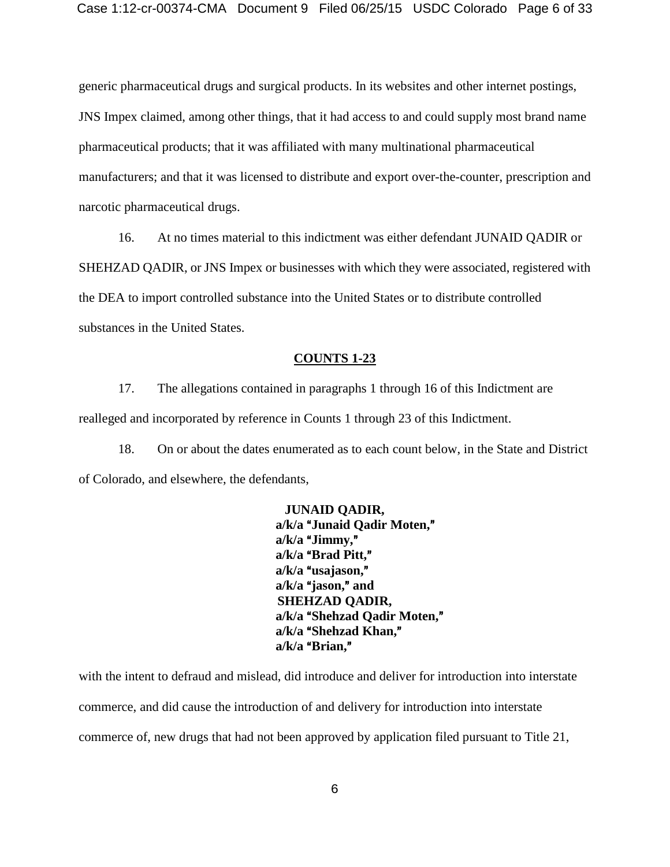generic pharmaceutical drugs and surgical products. In its websites and other internet postings, JNS Impex claimed, among other things, that it had access to and could supply most brand name pharmaceutical products; that it was affiliated with many multinational pharmaceutical manufacturers; and that it was licensed to distribute and export over-the-counter, prescription and narcotic pharmaceutical drugs.

16. At no times material to this indictment was either defendant JUNAID QADIR or SHEHZAD QADIR, or JNS Impex or businesses with which they were associated, registered with the DEA to import controlled substance into the United States or to distribute controlled substances in the United States.

#### **COUNTS 1-23**

17. The allegations contained in paragraphs 1 through 16 of this Indictment are realleged and incorporated by reference in Counts 1 through 23 of this Indictment.

18. On or about the dates enumerated as to each count below, in the State and District of Colorado, and elsewhere, the defendants,

> **JUNAID QADIR,**  a/k/a "Junaid Qadir Moten," a/k/a "Jimmy," a/k/a "Brad Pitt," a/k/a "usajason," a/k/a "jason," and **SHEHZAD QADIR,** a/k/a "Shehzad Qadir Moten," a/k/a "Shehzad Khan," a/k/a "Brian."

with the intent to defraud and mislead, did introduce and deliver for introduction into interstate commerce, and did cause the introduction of and delivery for introduction into interstate commerce of, new drugs that had not been approved by application filed pursuant to Title 21,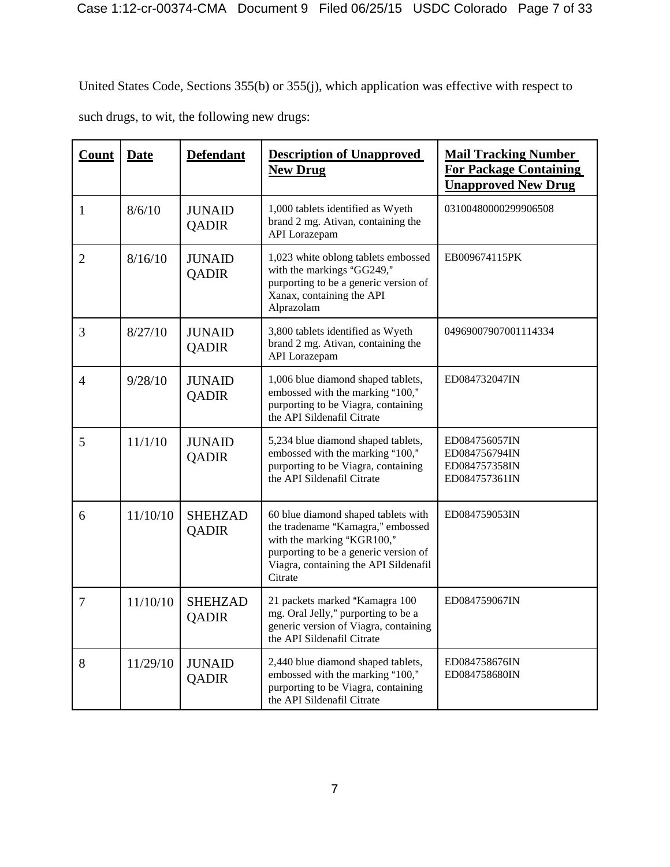United States Code, Sections 355(b) or 355(j), which application was effective with respect to such drugs, to wit, the following new drugs:

| <b>Count</b>   | <b>Date</b> | <b>Defendant</b>               | <b>Description of Unapproved</b><br><b>New Drug</b>                                                                                                                                                 | <b>Mail Tracking Number</b><br><b>For Package Containing</b><br><b>Unapproved New Drug</b> |
|----------------|-------------|--------------------------------|-----------------------------------------------------------------------------------------------------------------------------------------------------------------------------------------------------|--------------------------------------------------------------------------------------------|
| $\mathbf{1}$   | 8/6/10      | <b>JUNAID</b><br><b>QADIR</b>  | 1,000 tablets identified as Wyeth<br>brand 2 mg. Ativan, containing the<br>API Lorazepam                                                                                                            | 03100480000299906508                                                                       |
| $\overline{2}$ | 8/16/10     | <b>JUNAID</b><br><b>QADIR</b>  | 1,023 white oblong tablets embossed<br>with the markings "GG249,"<br>purporting to be a generic version of<br>Xanax, containing the API<br>Alprazolam                                               | EB009674115PK                                                                              |
| 3              | 8/27/10     | <b>JUNAID</b><br><b>QADIR</b>  | 3,800 tablets identified as Wyeth<br>brand 2 mg. Ativan, containing the<br>API Lorazepam                                                                                                            | 04969007907001114334                                                                       |
| 4              | 9/28/10     | <b>JUNAID</b><br><b>QADIR</b>  | 1,006 blue diamond shaped tablets,<br>embossed with the marking "100,"<br>purporting to be Viagra, containing<br>the API Sildenafil Citrate                                                         | ED084732047IN                                                                              |
| 5              | 11/1/10     | <b>JUNAID</b><br><b>QADIR</b>  | 5,234 blue diamond shaped tablets,<br>embossed with the marking "100,"<br>purporting to be Viagra, containing<br>the API Sildenafil Citrate                                                         | ED084756057IN<br>ED084756794IN<br>ED084757358IN<br>ED084757361IN                           |
| 6              | 11/10/10    | <b>SHEHZAD</b><br><b>QADIR</b> | 60 blue diamond shaped tablets with<br>the tradename "Kamagra," embossed<br>with the marking "KGR100,"<br>purporting to be a generic version of<br>Viagra, containing the API Sildenafil<br>Citrate | ED084759053IN                                                                              |
| 7              | 11/10/10    | <b>SHEHZAD</b><br><b>QADIR</b> | 21 packets marked "Kamagra 100<br>mg. Oral Jelly," purporting to be a<br>generic version of Viagra, containing<br>the API Sildenafil Citrate                                                        | ED084759067IN                                                                              |
| 8              | 11/29/10    | <b>JUNAID</b><br><b>QADIR</b>  | 2,440 blue diamond shaped tablets,<br>embossed with the marking "100,"<br>purporting to be Viagra, containing<br>the API Sildenafil Citrate                                                         | ED084758676IN<br>ED084758680IN                                                             |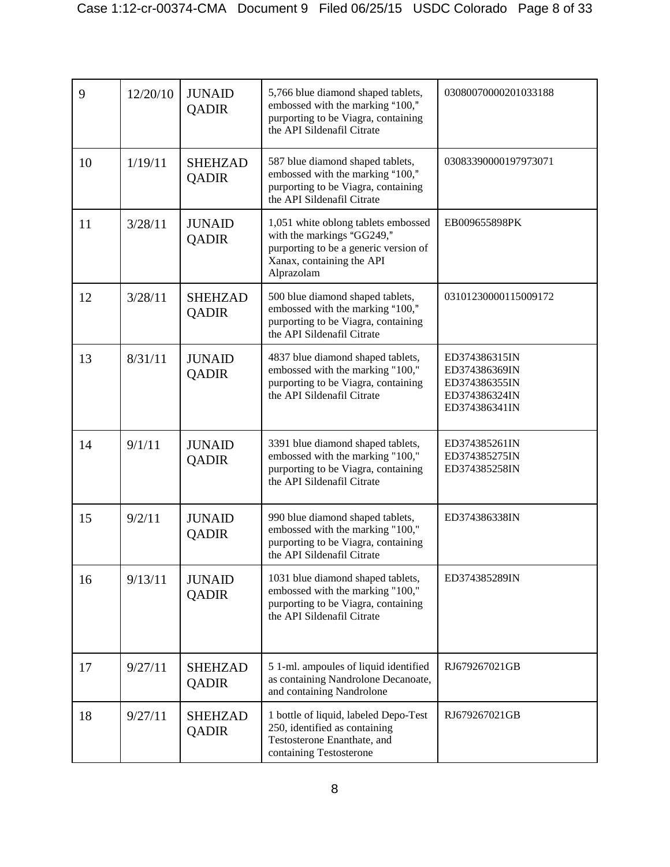| 9  | 12/20/10 | <b>JUNAID</b><br><b>QADIR</b>  | 5,766 blue diamond shaped tablets,<br>embossed with the marking "100,"<br>purporting to be Viagra, containing<br>the API Sildenafil Citrate           | 03080070000201033188                                                              |
|----|----------|--------------------------------|-------------------------------------------------------------------------------------------------------------------------------------------------------|-----------------------------------------------------------------------------------|
| 10 | 1/19/11  | <b>SHEHZAD</b><br><b>QADIR</b> | 587 blue diamond shaped tablets,<br>embossed with the marking "100,"<br>purporting to be Viagra, containing<br>the API Sildenafil Citrate             | 03083390000197973071                                                              |
| 11 | 3/28/11  | <b>JUNAID</b><br><b>QADIR</b>  | 1,051 white oblong tablets embossed<br>with the markings "GG249,"<br>purporting to be a generic version of<br>Xanax, containing the API<br>Alprazolam | EB009655898PK                                                                     |
| 12 | 3/28/11  | <b>SHEHZAD</b><br>QADIR        | 500 blue diamond shaped tablets,<br>embossed with the marking "100,"<br>purporting to be Viagra, containing<br>the API Sildenafil Citrate             | 03101230000115009172                                                              |
| 13 | 8/31/11  | <b>JUNAID</b><br><b>QADIR</b>  | 4837 blue diamond shaped tablets,<br>embossed with the marking "100,"<br>purporting to be Viagra, containing<br>the API Sildenafil Citrate            | ED374386315IN<br>ED374386369IN<br>ED374386355IN<br>ED374386324IN<br>ED374386341IN |
| 14 | 9/1/11   | <b>JUNAID</b><br><b>QADIR</b>  | 3391 blue diamond shaped tablets,<br>embossed with the marking "100,"<br>purporting to be Viagra, containing<br>the API Sildenafil Citrate            | ED374385261IN<br>ED374385275IN<br>ED374385258IN                                   |
| 15 | 9/2/11   | <b>JUNAID</b><br><b>QADIR</b>  | 990 blue diamond shaped tablets,<br>embossed with the marking "100,"<br>purporting to be Viagra, containing<br>the API Sildenafil Citrate             | ED374386338IN                                                                     |
| 16 | 9/13/11  | <b>JUNAID</b><br><b>QADIR</b>  | 1031 blue diamond shaped tablets,<br>embossed with the marking "100,"<br>purporting to be Viagra, containing<br>the API Sildenafil Citrate            | ED374385289IN                                                                     |
| 17 | 9/27/11  | <b>SHEHZAD</b><br><b>QADIR</b> | 5 1-ml. ampoules of liquid identified<br>as containing Nandrolone Decanoate,<br>and containing Nandrolone                                             | RJ679267021GB                                                                     |
| 18 | 9/27/11  | <b>SHEHZAD</b><br><b>QADIR</b> | 1 bottle of liquid, labeled Depo-Test<br>250, identified as containing<br>Testosterone Enanthate, and<br>containing Testosterone                      | RJ679267021GB                                                                     |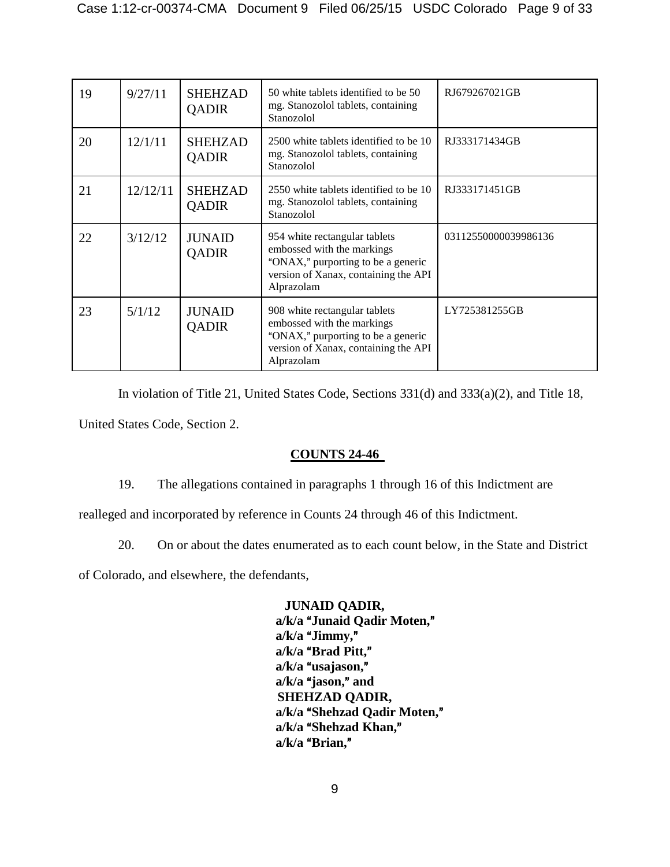| 19 | 9/27/11  | <b>SHEHZAD</b><br><b>QADIR</b> | 50 white tablets identified to be 50<br>mg. Stanozolol tablets, containing<br>Stanozolol                                                                | RJ679267021GB        |
|----|----------|--------------------------------|---------------------------------------------------------------------------------------------------------------------------------------------------------|----------------------|
| 20 | 12/1/11  | <b>SHEHZAD</b><br><b>QADIR</b> | 2500 white tablets identified to be 10<br>mg. Stanozolol tablets, containing<br>Stanozolol                                                              | RJ333171434GB        |
| 21 | 12/12/11 | <b>SHEHZAD</b><br>QADIR        | 2550 white tablets identified to be 10<br>mg. Stanozolol tablets, containing<br>Stanozolol                                                              | RJ333171451GB        |
| 22 | 3/12/12  | <b>JUNAID</b><br>QADIR         | 954 white rectangular tablets<br>embossed with the markings<br>"ONAX," purporting to be a generic<br>version of Xanax, containing the API<br>Alprazolam | 03112550000039986136 |
| 23 | 5/1/12   | <b>JUNAID</b><br><b>QADIR</b>  | 908 white rectangular tablets<br>embossed with the markings<br>"ONAX," purporting to be a generic<br>version of Xanax, containing the API<br>Alprazolam | LY725381255GB        |

In violation of Title 21, United States Code, Sections 331(d) and 333(a)(2), and Title 18, United States Code, Section 2.

## **COUNTS 24-46**

19. The allegations contained in paragraphs 1 through 16 of this Indictment are

realleged and incorporated by reference in Counts 24 through 46 of this Indictment.

20. On or about the dates enumerated as to each count below, in the State and District

of Colorado, and elsewhere, the defendants,

**JUNAID QADIR,**  a/k/a "Junaid Qadir Moten," a/k/a "Jimmy," a/k/a "Brad Pitt," a/k/a "usajason," a/k/a "jason," and **SHEHZAD QADIR,** a/k/a "Shehzad Qadir Moten," a/k/a "Shehzad Khan," a/k/a "Brian,"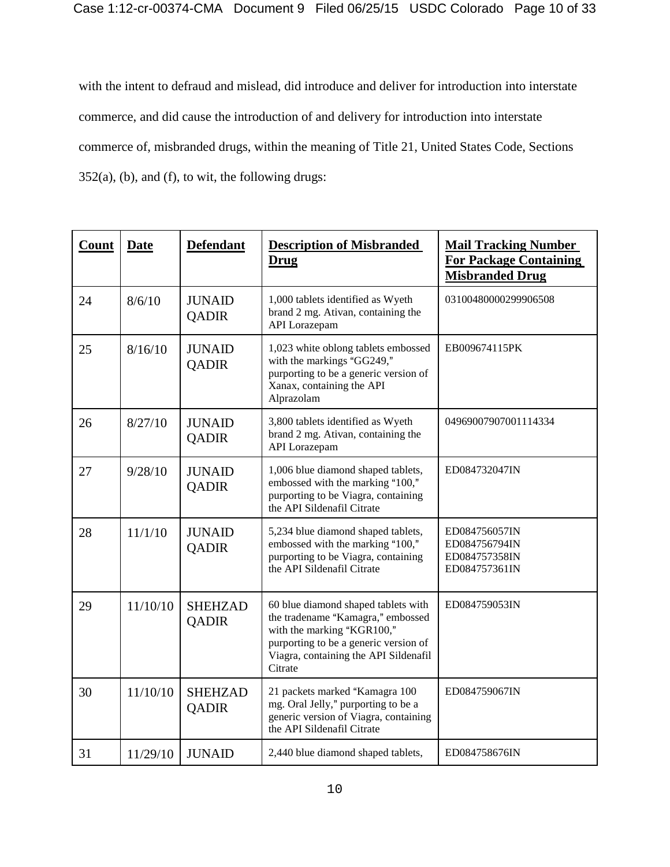with the intent to defraud and mislead, did introduce and deliver for introduction into interstate commerce, and did cause the introduction of and delivery for introduction into interstate commerce of, misbranded drugs, within the meaning of Title 21, United States Code, Sections 352(a), (b), and (f), to wit, the following drugs:

| <b>Count</b> | <b>Date</b> | <b>Defendant</b>               | <b>Description of Misbranded</b><br>Drug                                                                                                                                                            | <b>Mail Tracking Number</b><br><b>For Package Containing</b><br><b>Misbranded Drug</b> |
|--------------|-------------|--------------------------------|-----------------------------------------------------------------------------------------------------------------------------------------------------------------------------------------------------|----------------------------------------------------------------------------------------|
| 24           | 8/6/10      | <b>JUNAID</b><br><b>QADIR</b>  | 1,000 tablets identified as Wyeth<br>brand 2 mg. Ativan, containing the<br>API Lorazepam                                                                                                            | 03100480000299906508                                                                   |
| 25           | 8/16/10     | <b>JUNAID</b><br><b>QADIR</b>  | 1,023 white oblong tablets embossed<br>with the markings "GG249,"<br>purporting to be a generic version of<br>Xanax, containing the API<br>Alprazolam                                               | EB009674115PK                                                                          |
| 26           | 8/27/10     | <b>JUNAID</b><br><b>QADIR</b>  | 3,800 tablets identified as Wyeth<br>brand 2 mg. Ativan, containing the<br>API Lorazepam                                                                                                            | 04969007907001114334                                                                   |
| 27           | 9/28/10     | <b>JUNAID</b><br><b>QADIR</b>  | 1,006 blue diamond shaped tablets,<br>embossed with the marking "100,"<br>purporting to be Viagra, containing<br>the API Sildenafil Citrate                                                         | ED084732047IN                                                                          |
| 28           | 11/1/10     | <b>JUNAID</b><br><b>QADIR</b>  | 5,234 blue diamond shaped tablets,<br>embossed with the marking "100,"<br>purporting to be Viagra, containing<br>the API Sildenafil Citrate                                                         | ED084756057IN<br>ED084756794IN<br>ED084757358IN<br>ED084757361IN                       |
| 29           | 11/10/10    | <b>SHEHZAD</b><br>QADIR        | 60 blue diamond shaped tablets with<br>the tradename "Kamagra," embossed<br>with the marking "KGR100,"<br>purporting to be a generic version of<br>Viagra, containing the API Sildenafil<br>Citrate | ED084759053IN                                                                          |
| 30           | 11/10/10    | <b>SHEHZAD</b><br><b>QADIR</b> | 21 packets marked "Kamagra 100<br>mg. Oral Jelly," purporting to be a<br>generic version of Viagra, containing<br>the API Sildenafil Citrate                                                        | ED084759067IN                                                                          |
| 31           | 11/29/10    | <b>JUNAID</b>                  | 2,440 blue diamond shaped tablets,                                                                                                                                                                  | ED084758676IN                                                                          |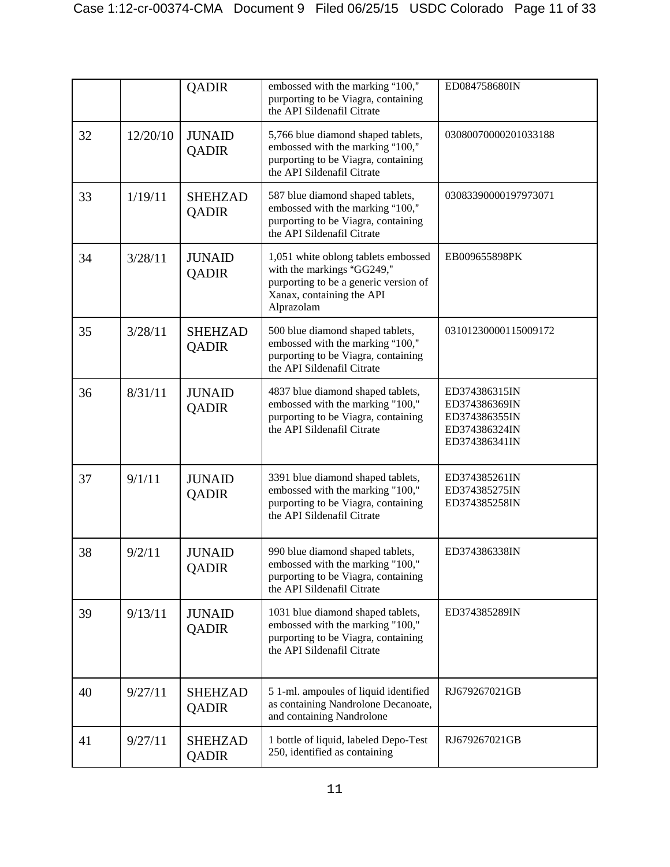|    |          | <b>QADIR</b>                   | embossed with the marking "100,"<br>purporting to be Viagra, containing<br>the API Sildenafil Citrate                                                 | ED084758680IN                                                                     |
|----|----------|--------------------------------|-------------------------------------------------------------------------------------------------------------------------------------------------------|-----------------------------------------------------------------------------------|
| 32 | 12/20/10 | <b>JUNAID</b><br><b>QADIR</b>  | 5,766 blue diamond shaped tablets,<br>embossed with the marking "100,"<br>purporting to be Viagra, containing<br>the API Sildenafil Citrate           | 03080070000201033188                                                              |
| 33 | 1/19/11  | <b>SHEHZAD</b><br><b>QADIR</b> | 587 blue diamond shaped tablets,<br>embossed with the marking "100,"<br>purporting to be Viagra, containing<br>the API Sildenafil Citrate             | 03083390000197973071                                                              |
| 34 | 3/28/11  | <b>JUNAID</b><br><b>QADIR</b>  | 1,051 white oblong tablets embossed<br>with the markings "GG249,"<br>purporting to be a generic version of<br>Xanax, containing the API<br>Alprazolam | EB009655898PK                                                                     |
| 35 | 3/28/11  | <b>SHEHZAD</b><br><b>QADIR</b> | 500 blue diamond shaped tablets,<br>embossed with the marking "100,"<br>purporting to be Viagra, containing<br>the API Sildenafil Citrate             | 03101230000115009172                                                              |
| 36 | 8/31/11  | <b>JUNAID</b><br><b>QADIR</b>  | 4837 blue diamond shaped tablets,<br>embossed with the marking "100,"<br>purporting to be Viagra, containing<br>the API Sildenafil Citrate            | ED374386315IN<br>ED374386369IN<br>ED374386355IN<br>ED374386324IN<br>ED374386341IN |
| 37 | 9/1/11   | <b>JUNAID</b><br><b>QADIR</b>  | 3391 blue diamond shaped tablets,<br>embossed with the marking "100,"<br>purporting to be Viagra, containing<br>the API Sildenafil Citrate            | ED374385261IN<br>ED374385275IN<br>ED374385258IN                                   |
| 38 | 9/2/11   | <b>JUNAID</b><br><b>QADIR</b>  | 990 blue diamond shaped tablets,<br>embossed with the marking "100,"<br>purporting to be Viagra, containing<br>the API Sildenafil Citrate             | ED374386338IN                                                                     |
| 39 | 9/13/11  | <b>JUNAID</b><br><b>QADIR</b>  | 1031 blue diamond shaped tablets,<br>embossed with the marking "100,"<br>purporting to be Viagra, containing<br>the API Sildenafil Citrate            | ED374385289IN                                                                     |
| 40 | 9/27/11  | <b>SHEHZAD</b><br><b>QADIR</b> | 5 1-ml. ampoules of liquid identified<br>as containing Nandrolone Decanoate,<br>and containing Nandrolone                                             | RJ679267021GB                                                                     |
| 41 | 9/27/11  | <b>SHEHZAD</b><br><b>QADIR</b> | 1 bottle of liquid, labeled Depo-Test<br>250, identified as containing                                                                                | RJ679267021GB                                                                     |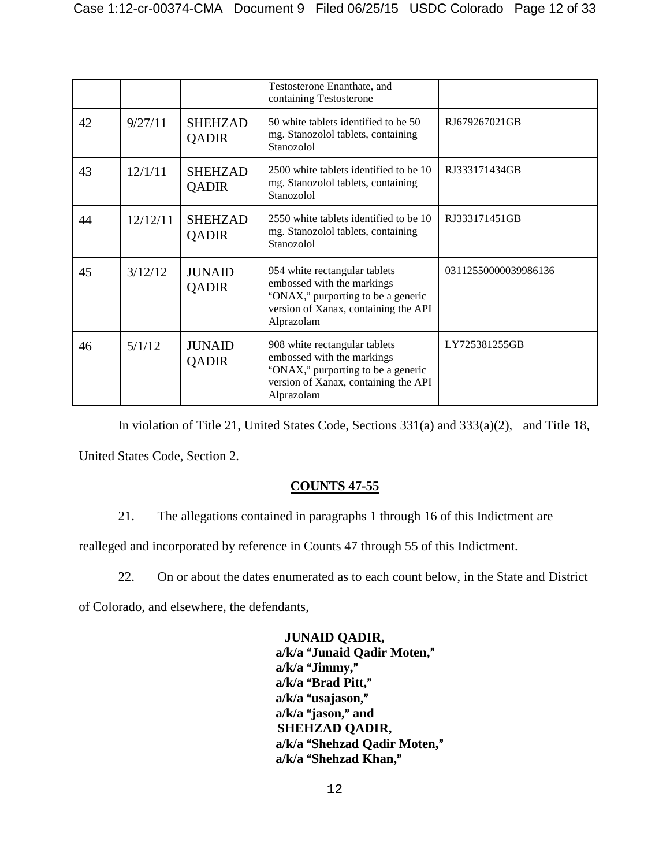|    |          |                                | Testosterone Enanthate, and<br>containing Testosterone                                                                                                  |                      |
|----|----------|--------------------------------|---------------------------------------------------------------------------------------------------------------------------------------------------------|----------------------|
| 42 | 9/27/11  | <b>SHEHZAD</b><br><b>QADIR</b> | 50 white tablets identified to be 50<br>mg. Stanozolol tablets, containing<br>Stanozolol                                                                | RJ679267021GB        |
| 43 | 12/1/11  | <b>SHEHZAD</b><br><b>QADIR</b> | 2500 white tablets identified to be 10<br>mg. Stanozolol tablets, containing<br>Stanozolol                                                              | RJ333171434GB        |
| 44 | 12/12/11 | <b>SHEHZAD</b><br><b>QADIR</b> | 2550 white tablets identified to be 10<br>mg. Stanozolol tablets, containing<br>Stanozolol                                                              | RJ333171451GB        |
| 45 | 3/12/12  | <b>JUNAID</b><br><b>QADIR</b>  | 954 white rectangular tablets<br>embossed with the markings<br>"ONAX," purporting to be a generic<br>version of Xanax, containing the API<br>Alprazolam | 03112550000039986136 |
| 46 | 5/1/12   | <b>JUNAID</b><br>QADIR         | 908 white rectangular tablets<br>embossed with the markings<br>"ONAX," purporting to be a generic<br>version of Xanax, containing the API<br>Alprazolam | LY725381255GB        |

In violation of Title 21, United States Code, Sections 331(a) and 333(a)(2), and Title 18, United States Code, Section 2.

## **COUNTS 47-55**

21. The allegations contained in paragraphs 1 through 16 of this Indictment are

realleged and incorporated by reference in Counts 47 through 55 of this Indictment.

22. On or about the dates enumerated as to each count below, in the State and District

of Colorado, and elsewhere, the defendants,

**JUNAID QADIR,**  a/k/a "Junaid Qadir Moten," a/k/a "Jimmy," a/k/a "Brad Pitt," a/k/a "usajason," a/k/a "jason," and **SHEHZAD QADIR,** a/k/a "Shehzad Qadir Moten," a/k/a "Shehzad Khan,"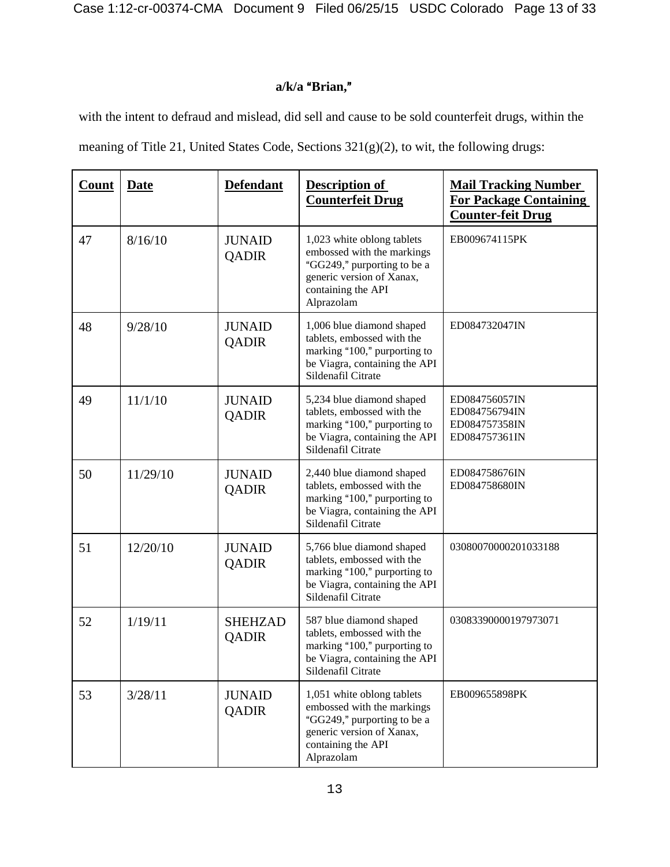Case 1:12-cr-00374-CMA Document 9 Filed 06/25/15 USDC Colorado Page 13 of 33

# a/k/a "Brian,"

with the intent to defraud and mislead, did sell and cause to be sold counterfeit drugs, within the

meaning of Title 21, United States Code, Sections 321(g)(2), to wit, the following drugs:

| Count | <b>Date</b> | <b>Defendant</b>              | <b>Description of</b><br><b>Counterfeit Drug</b>                                                                                                         | <b>Mail Tracking Number</b><br><b>For Package Containing</b><br><b>Counter-feit Drug</b> |
|-------|-------------|-------------------------------|----------------------------------------------------------------------------------------------------------------------------------------------------------|------------------------------------------------------------------------------------------|
| 47    | 8/16/10     | <b>JUNAID</b><br><b>QADIR</b> | 1,023 white oblong tablets<br>embossed with the markings<br>"GG249," purporting to be a<br>generic version of Xanax,<br>containing the API<br>Alprazolam | EB009674115PK                                                                            |
| 48    | 9/28/10     | <b>JUNAID</b><br>QADIR        | 1,006 blue diamond shaped<br>tablets, embossed with the<br>marking "100," purporting to<br>be Viagra, containing the API<br>Sildenafil Citrate           | ED084732047IN                                                                            |
| 49    | 11/1/10     | <b>JUNAID</b><br>QADIR        | 5,234 blue diamond shaped<br>tablets, embossed with the<br>marking "100," purporting to<br>be Viagra, containing the API<br>Sildenafil Citrate           | ED084756057IN<br>ED084756794IN<br>ED084757358IN<br>ED084757361IN                         |
| 50    | 11/29/10    | <b>JUNAID</b><br><b>QADIR</b> | 2,440 blue diamond shaped<br>tablets, embossed with the<br>marking "100," purporting to<br>be Viagra, containing the API<br>Sildenafil Citrate           | ED084758676IN<br>ED084758680IN                                                           |
| 51    | 12/20/10    | <b>JUNAID</b><br>QADIR        | 5,766 blue diamond shaped<br>tablets, embossed with the<br>marking "100," purporting to<br>be Viagra, containing the API<br>Sildenafil Citrate           | 03080070000201033188                                                                     |
| 52    | 1/19/11     | <b>SHEHZAD</b><br>QADIR       | 587 blue diamond shaped<br>tablets, embossed with the<br>marking "100," purporting to<br>be Viagra, containing the API<br>Sildenafil Citrate             | 03083390000197973071                                                                     |
| 53    | 3/28/11     | <b>JUNAID</b><br>QADIR        | 1,051 white oblong tablets<br>embossed with the markings<br>"GG249," purporting to be a<br>generic version of Xanax,<br>containing the API<br>Alprazolam | EB009655898PK                                                                            |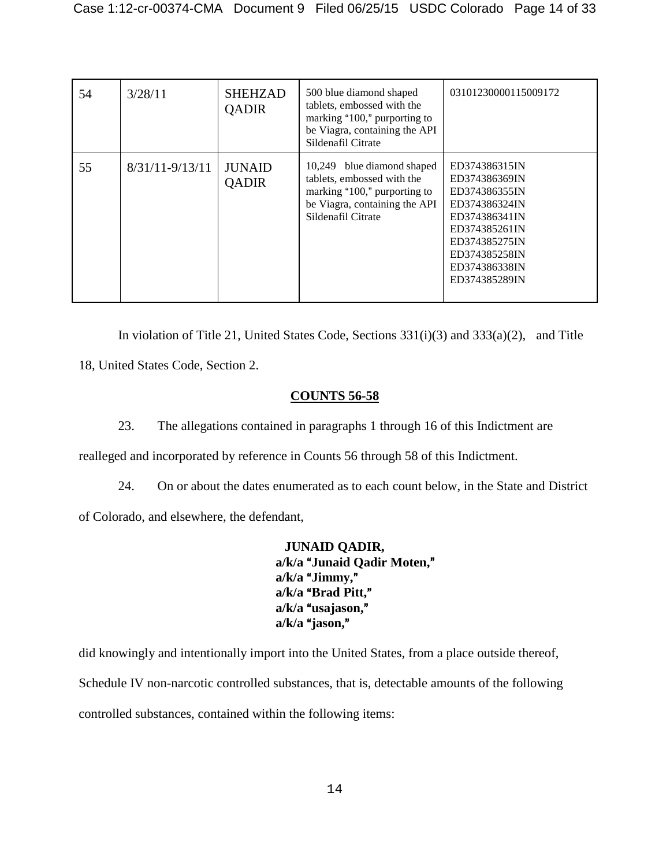| 54 | 3/28/11             | <b>SHEHZAD</b><br><b>QADIR</b> | 500 blue diamond shaped<br>tablets, embossed with the<br>marking "100," purporting to<br>be Viagra, containing the API<br>Sildenafil Citrate    | 03101230000115009172                                                                                                                                                   |
|----|---------------------|--------------------------------|-------------------------------------------------------------------------------------------------------------------------------------------------|------------------------------------------------------------------------------------------------------------------------------------------------------------------------|
| 55 | $8/31/11 - 9/13/11$ | <b>JUNAID</b><br><b>QADIR</b>  | 10,249 blue diamond shaped<br>tablets, embossed with the<br>marking "100," purporting to<br>be Viagra, containing the API<br>Sildenafil Citrate | ED374386315IN<br>ED374386369IN<br>ED374386355IN<br>ED374386324IN<br>ED374386341IN<br>ED374385261IN<br>ED374385275IN<br>ED374385258IN<br>ED374386338IN<br>ED374385289IN |

In violation of Title 21, United States Code, Sections 331(i)(3) and 333(a)(2), and Title 18, United States Code, Section 2.

## **COUNTS 56-58**

23. The allegations contained in paragraphs 1 through 16 of this Indictment are

realleged and incorporated by reference in Counts 56 through 58 of this Indictment.

24. On or about the dates enumerated as to each count below, in the State and District of Colorado, and elsewhere, the defendant,

> **JUNAID QADIR,**  a/k/a "Junaid Qadir Moten," a/k/a "Jimmy," a/k/a "Brad Pitt," a/k/a "usajason," a/k/a "jason,"

did knowingly and intentionally import into the United States, from a place outside thereof, Schedule IV non-narcotic controlled substances, that is, detectable amounts of the following controlled substances, contained within the following items: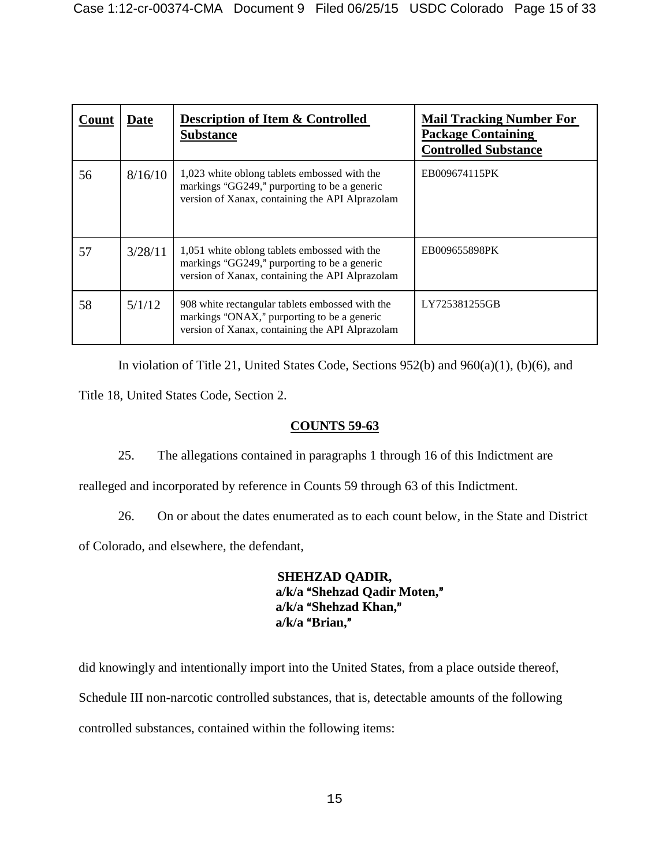| Count | Date    | <b>Description of Item &amp; Controlled</b><br><b>Substance</b>                                                                                   | <b>Mail Tracking Number For</b><br><b>Package Containing</b><br><b>Controlled Substance</b> |
|-------|---------|---------------------------------------------------------------------------------------------------------------------------------------------------|---------------------------------------------------------------------------------------------|
| 56    | 8/16/10 | 1,023 white oblong tablets embossed with the<br>markings "GG249," purporting to be a generic<br>version of Xanax, containing the API Alprazolam   | EB009674115PK                                                                               |
| 57    | 3/28/11 | 1,051 white oblong tablets embossed with the<br>markings "GG249," purporting to be a generic<br>version of Xanax, containing the API Alprazolam   | EB009655898PK                                                                               |
| 58    | 5/1/12  | 908 white rectangular tablets embossed with the<br>markings "ONAX," purporting to be a generic<br>version of Xanax, containing the API Alprazolam | LY725381255GB                                                                               |

In violation of Title 21, United States Code, Sections 952(b) and 960(a)(1), (b)(6), and

Title 18, United States Code, Section 2.

## **COUNTS 59-63**

25. The allegations contained in paragraphs 1 through 16 of this Indictment are

realleged and incorporated by reference in Counts 59 through 63 of this Indictment.

26. On or about the dates enumerated as to each count below, in the State and District

of Colorado, and elsewhere, the defendant,

**SHEHZAD QADIR,** a/k/a "Shehzad Qadir Moten," a/k/a "Shehzad Khan," a/k/a "Brian,"

did knowingly and intentionally import into the United States, from a place outside thereof, Schedule III non-narcotic controlled substances, that is, detectable amounts of the following controlled substances, contained within the following items: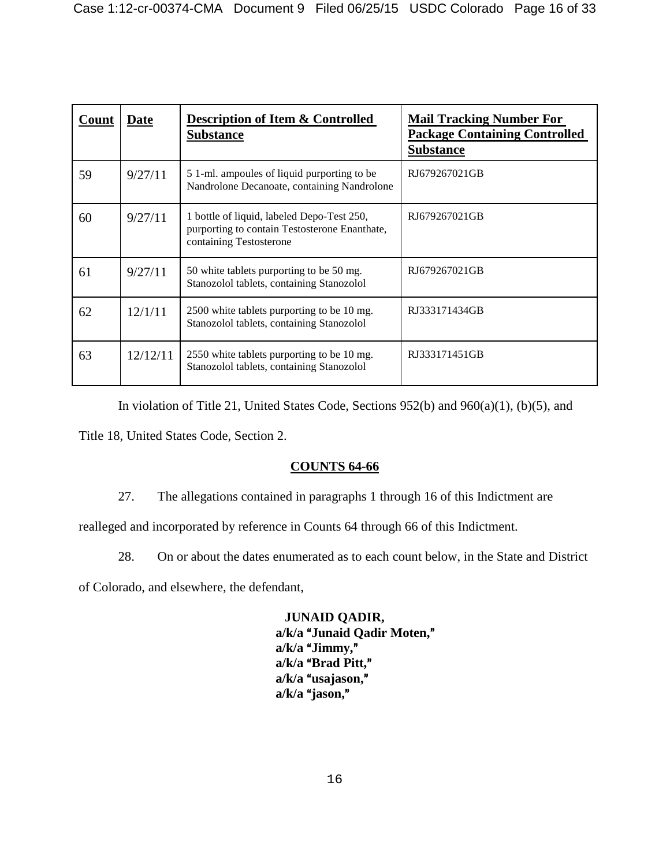| Count | Date     | <b>Description of Item &amp; Controlled</b><br><b>Substance</b>                                                        | <b>Mail Tracking Number For</b><br><b>Package Containing Controlled</b><br><b>Substance</b> |
|-------|----------|------------------------------------------------------------------------------------------------------------------------|---------------------------------------------------------------------------------------------|
| 59    | 9/27/11  | 5 1-ml. ampoules of liquid purporting to be<br>Nandrolone Decanoate, containing Nandrolone                             | RJ679267021GB                                                                               |
| 60    | 9/27/11  | 1 bottle of liquid, labeled Depo-Test 250,<br>purporting to contain Testosterone Enanthate,<br>containing Testosterone | RJ679267021GB                                                                               |
| 61    | 9/27/11  | 50 white tablets purporting to be 50 mg.<br>Stanozolol tablets, containing Stanozolol                                  | RJ679267021GB                                                                               |
| 62    | 12/1/11  | 2500 white tablets purporting to be 10 mg.<br>Stanozolol tablets, containing Stanozolol                                | RJ333171434GB                                                                               |
| 63    | 12/12/11 | 2550 white tablets purporting to be 10 mg.<br>Stanozolol tablets, containing Stanozolol                                | RJ333171451GB                                                                               |

In violation of Title 21, United States Code, Sections 952(b) and 960(a)(1), (b)(5), and

Title 18, United States Code, Section 2.

## **COUNTS 64-66**

27. The allegations contained in paragraphs 1 through 16 of this Indictment are

realleged and incorporated by reference in Counts 64 through 66 of this Indictment.

28. On or about the dates enumerated as to each count below, in the State and District

of Colorado, and elsewhere, the defendant,

**JUNAID QADIR,**  a/k/a "Junaid Qadir Moten," a/k/a "Jimmy," a/k/a "Brad Pitt," a/k/a "usajason," a/k/a "jason,"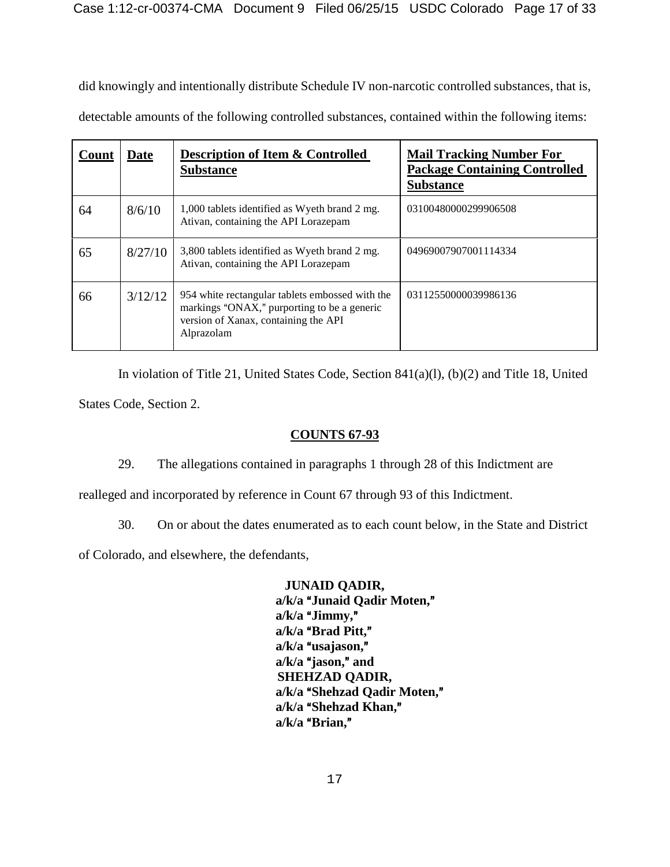did knowingly and intentionally distribute Schedule IV non-narcotic controlled substances, that is, detectable amounts of the following controlled substances, contained within the following items:

| Count | <b>Date</b> | <b>Description of Item &amp; Controlled</b><br><b>Substance</b>                                                                                      | <b>Mail Tracking Number For</b><br><b>Package Containing Controlled</b><br><b>Substance</b> |
|-------|-------------|------------------------------------------------------------------------------------------------------------------------------------------------------|---------------------------------------------------------------------------------------------|
| 64    | 8/6/10      | 1,000 tablets identified as Wyeth brand 2 mg.<br>Ativan, containing the API Lorazepam                                                                | 03100480000299906508                                                                        |
| 65    | 8/27/10     | 3,800 tablets identified as Wyeth brand 2 mg.<br>Ativan, containing the API Lorazepam                                                                | 04969007907001114334                                                                        |
| 66    | 3/12/12     | 954 white rectangular tablets embossed with the<br>markings "ONAX," purporting to be a generic<br>version of Xanax, containing the API<br>Alprazolam | 03112550000039986136                                                                        |

In violation of Title 21, United States Code, Section 841(a)(l), (b)(2) and Title 18, United States Code, Section 2.

## **COUNTS 67-93**

29. The allegations contained in paragraphs 1 through 28 of this Indictment are

realleged and incorporated by reference in Count 67 through 93 of this Indictment.

30. On or about the dates enumerated as to each count below, in the State and District

of Colorado, and elsewhere, the defendants,

**JUNAID QADIR,**  a/k/a "Junaid Qadir Moten,"  $a/k/a$  "Jimmy," a/k/a "Brad Pitt," a/k/a "usajason," a/k/a "jason," and **SHEHZAD QADIR,** a/k/a "Shehzad Qadir Moten," a/k/a "Shehzad Khan," a/k/a "Brian,"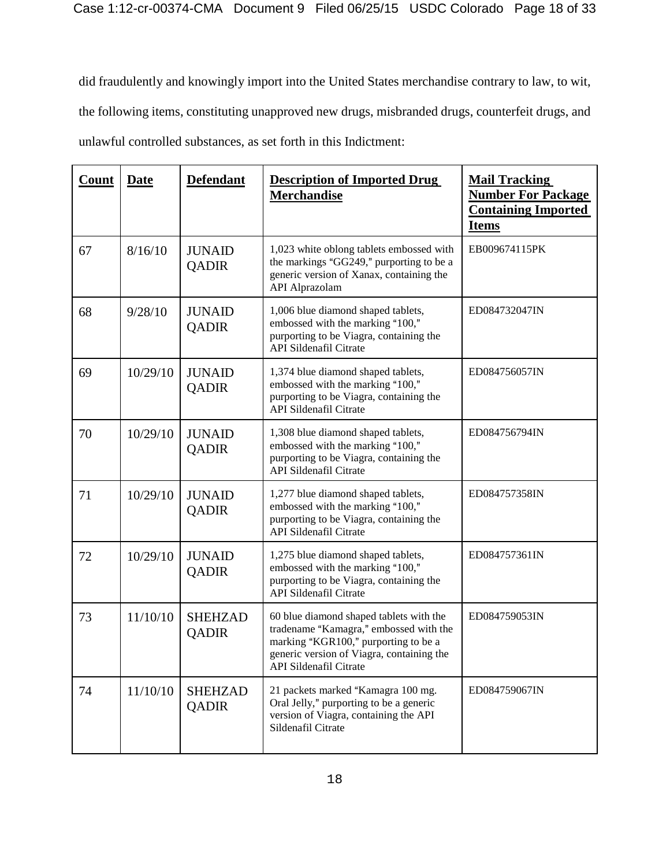did fraudulently and knowingly import into the United States merchandise contrary to law, to wit, the following items, constituting unapproved new drugs, misbranded drugs, counterfeit drugs, and unlawful controlled substances, as set forth in this Indictment:

| Count | <b>Date</b> | <b>Defendant</b>               | <b>Description of Imported Drug</b><br><b>Merchandise</b>                                                                                                                                        | <b>Mail Tracking</b><br><b>Number For Package</b><br><b>Containing Imported</b><br><b>Items</b> |
|-------|-------------|--------------------------------|--------------------------------------------------------------------------------------------------------------------------------------------------------------------------------------------------|-------------------------------------------------------------------------------------------------|
| 67    | 8/16/10     | <b>JUNAID</b><br><b>QADIR</b>  | 1,023 white oblong tablets embossed with<br>the markings "GG249," purporting to be a<br>generic version of Xanax, containing the<br><b>API</b> Alprazolam                                        | EB009674115PK                                                                                   |
| 68    | 9/28/10     | <b>JUNAID</b><br><b>QADIR</b>  | 1,006 blue diamond shaped tablets,<br>embossed with the marking "100,"<br>purporting to be Viagra, containing the<br><b>API Sildenafil Citrate</b>                                               | ED084732047IN                                                                                   |
| 69    | 10/29/10    | <b>JUNAID</b><br><b>QADIR</b>  | 1,374 blue diamond shaped tablets,<br>embossed with the marking "100,"<br>purporting to be Viagra, containing the<br><b>API Sildenafil Citrate</b>                                               | ED084756057IN                                                                                   |
| 70    | 10/29/10    | <b>JUNAID</b><br><b>QADIR</b>  | 1,308 blue diamond shaped tablets,<br>embossed with the marking "100,"<br>purporting to be Viagra, containing the<br><b>API Sildenafil Citrate</b>                                               | ED084756794IN                                                                                   |
| 71    | 10/29/10    | <b>JUNAID</b><br><b>QADIR</b>  | 1,277 blue diamond shaped tablets,<br>embossed with the marking "100,"<br>purporting to be Viagra, containing the<br>API Sildenafil Citrate                                                      | ED084757358IN                                                                                   |
| 72    | 10/29/10    | <b>JUNAID</b><br><b>QADIR</b>  | 1,275 blue diamond shaped tablets,<br>embossed with the marking "100,"<br>purporting to be Viagra, containing the<br><b>API Sildenafil Citrate</b>                                               | ED084757361IN                                                                                   |
| 73    | 11/10/10    | <b>SHEHZAD</b><br>QADIR        | 60 blue diamond shaped tablets with the<br>tradename "Kamagra," embossed with the<br>marking "KGR100," purporting to be a<br>generic version of Viagra, containing the<br>API Sildenafil Citrate | ED084759053IN                                                                                   |
| 74    | 11/10/10    | <b>SHEHZAD</b><br><b>QADIR</b> | 21 packets marked "Kamagra 100 mg.<br>Oral Jelly," purporting to be a generic<br>version of Viagra, containing the API<br>Sildenafil Citrate                                                     | ED084759067IN                                                                                   |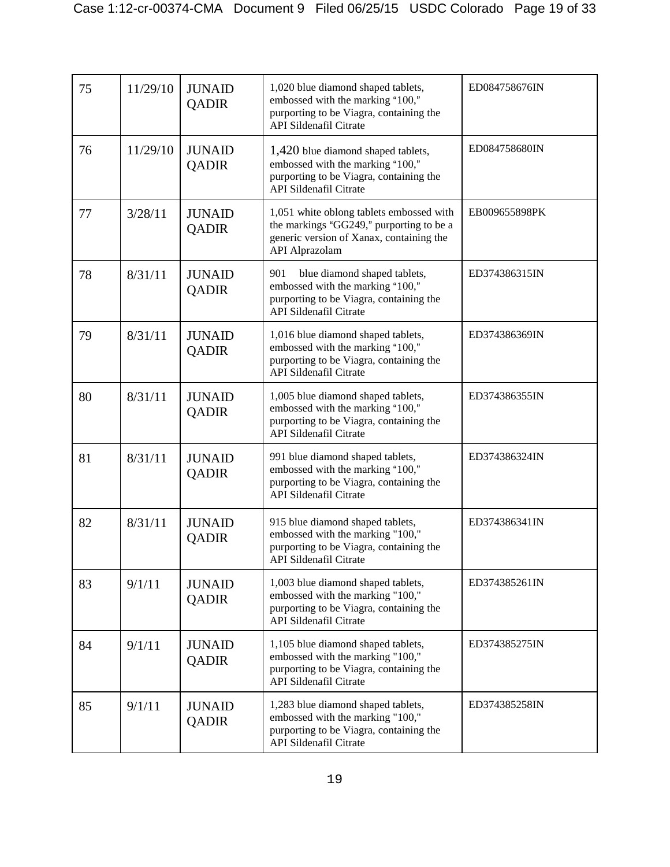| 75 | 11/29/10 | <b>JUNAID</b><br><b>QADIR</b> | 1,020 blue diamond shaped tablets,<br>embossed with the marking "100,"<br>purporting to be Viagra, containing the<br><b>API Sildenafil Citrate</b>        | ED084758676IN |
|----|----------|-------------------------------|-----------------------------------------------------------------------------------------------------------------------------------------------------------|---------------|
| 76 | 11/29/10 | <b>JUNAID</b><br><b>QADIR</b> | 1,420 blue diamond shaped tablets,<br>embossed with the marking "100,"<br>purporting to be Viagra, containing the<br><b>API Sildenafil Citrate</b>        | ED084758680IN |
| 77 | 3/28/11  | <b>JUNAID</b><br><b>QADIR</b> | 1,051 white oblong tablets embossed with<br>the markings "GG249," purporting to be a<br>generic version of Xanax, containing the<br><b>API</b> Alprazolam | EB009655898PK |
| 78 | 8/31/11  | <b>JUNAID</b><br><b>QADIR</b> | 901<br>blue diamond shaped tablets,<br>embossed with the marking "100,"<br>purporting to be Viagra, containing the<br><b>API Sildenafil Citrate</b>       | ED374386315IN |
| 79 | 8/31/11  | <b>JUNAID</b><br><b>QADIR</b> | 1,016 blue diamond shaped tablets,<br>embossed with the marking "100,"<br>purporting to be Viagra, containing the<br>API Sildenafil Citrate               | ED374386369IN |
| 80 | 8/31/11  | <b>JUNAID</b><br><b>QADIR</b> | 1,005 blue diamond shaped tablets,<br>embossed with the marking "100,"<br>purporting to be Viagra, containing the<br><b>API Sildenafil Citrate</b>        | ED374386355IN |
| 81 | 8/31/11  | <b>JUNAID</b><br><b>QADIR</b> | 991 blue diamond shaped tablets,<br>embossed with the marking "100,"<br>purporting to be Viagra, containing the<br><b>API Sildenafil Citrate</b>          | ED374386324IN |
| 82 | 8/31/11  | <b>JUNAID</b><br><b>QADIR</b> | 915 blue diamond shaped tablets,<br>embossed with the marking "100,"<br>purporting to be Viagra, containing the<br><b>API Sildenafil Citrate</b>          | ED374386341IN |
| 83 | 9/1/11   | <b>JUNAID</b><br><b>QADIR</b> | 1,003 blue diamond shaped tablets,<br>embossed with the marking "100,"<br>purporting to be Viagra, containing the<br><b>API Sildenafil Citrate</b>        | ED374385261IN |
| 84 | 9/1/11   | <b>JUNAID</b><br><b>QADIR</b> | 1,105 blue diamond shaped tablets,<br>embossed with the marking "100,"<br>purporting to be Viagra, containing the<br><b>API Sildenafil Citrate</b>        | ED374385275IN |
| 85 | 9/1/11   | <b>JUNAID</b><br><b>QADIR</b> | 1,283 blue diamond shaped tablets,<br>embossed with the marking "100,"<br>purporting to be Viagra, containing the<br><b>API Sildenafil Citrate</b>        | ED374385258IN |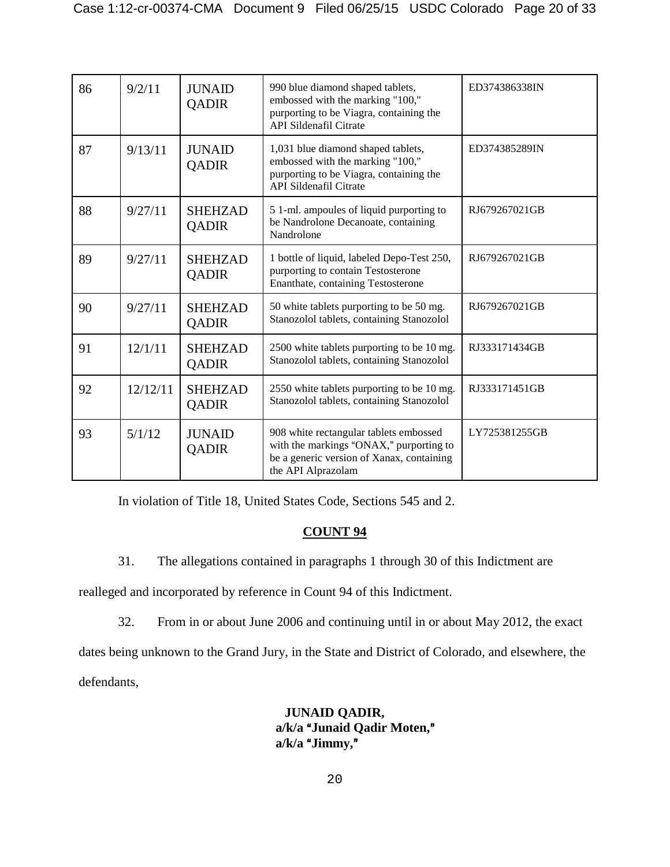| 86 | 9/2/11   | <b>JUNAID</b><br><b>QADIR</b>  | 990 blue diamond shaped tablets,<br>embossed with the marking "100,"<br>purporting to be Viagra, containing the<br><b>API Sildenafil Citrate</b>     | ED374386338IN |
|----|----------|--------------------------------|------------------------------------------------------------------------------------------------------------------------------------------------------|---------------|
| 87 | 9/13/11  | <b>JUNAID</b><br><b>QADIR</b>  | 1,031 blue diamond shaped tablets,<br>embossed with the marking "100,"<br>purporting to be Viagra, containing the<br><b>API Sildenafil Citrate</b>   | ED374385289IN |
| 88 | 9/27/11  | <b>SHEHZAD</b><br><b>QADIR</b> | 5 1-ml. ampoules of liquid purporting to<br>be Nandrolone Decanoate, containing<br>Nandrolone                                                        | RJ679267021GB |
| 89 | 9/27/11  | <b>SHEHZAD</b><br><b>QADIR</b> | 1 bottle of liquid, labeled Depo-Test 250,<br>purporting to contain Testosterone<br>Enanthate, containing Testosterone                               | RJ679267021GB |
| 90 | 9/27/11  | <b>SHEHZAD</b><br><b>QADIR</b> | 50 white tablets purporting to be 50 mg.<br>Stanozolol tablets, containing Stanozolol                                                                | RJ679267021GB |
| 91 | 12/1/11  | <b>SHEHZAD</b><br><b>QADIR</b> | 2500 white tablets purporting to be 10 mg.<br>Stanozolol tablets, containing Stanozolol                                                              | RJ333171434GB |
| 92 | 12/12/11 | <b>SHEHZAD</b><br>QADIR        | 2550 white tablets purporting to be 10 mg.<br>Stanozolol tablets, containing Stanozolol                                                              | RJ333171451GB |
| 93 | 5/1/12   | <b>JUNAID</b><br><b>QADIR</b>  | 908 white rectangular tablets embossed<br>with the markings "ONAX," purporting to<br>be a generic version of Xanax, containing<br>the API Alprazolam | LY725381255GB |

In violation of Title 18, United States Code, Sections 545 and 2.

## **COUNT 94**

31. The allegations contained in paragraphs 1 through 30 of this Indictment are

realleged and incorporated by reference in Count 94 of this Indictment.

32. From in or about June 2006 and continuing until in or about May 2012, the exact

dates being unknown to the Grand Jury, in the State and District of Colorado, and elsewhere, the defendants,

> **JUNAID QADIR,**  a/k/a "Junaid Qadir Moten,"  $a/k/a$  "Jimmy,"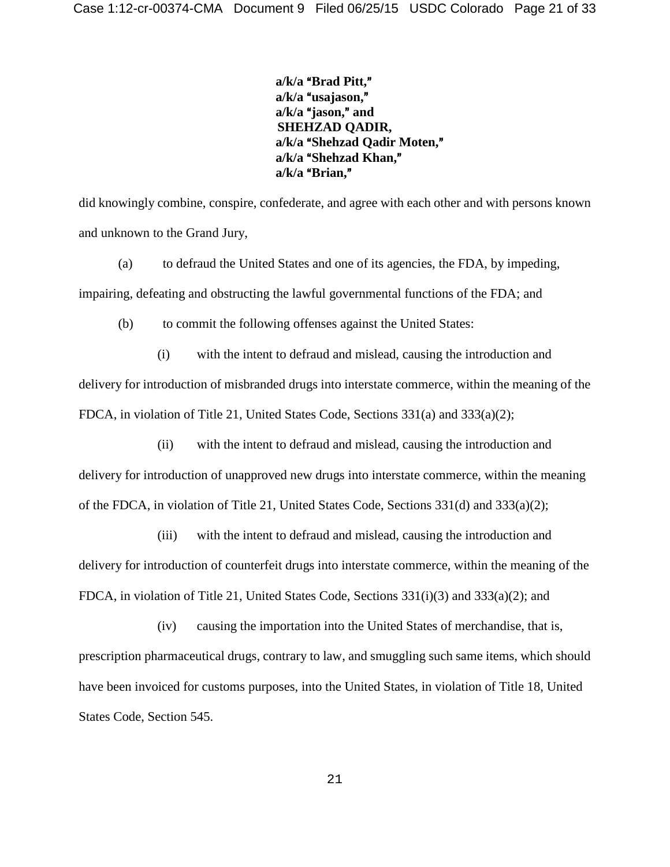a/k/a "Brad Pitt," a/k/a "usajason," a/k/a "jason," and **SHEHZAD QADIR,** a/k/a "Shehzad Qadir Moten," a/k/a "Shehzad Khan," a/k/a "Brian,"

did knowingly combine, conspire, confederate, and agree with each other and with persons known and unknown to the Grand Jury,

(a) to defraud the United States and one of its agencies, the FDA, by impeding, impairing, defeating and obstructing the lawful governmental functions of the FDA; and

(b) to commit the following offenses against the United States:

(i) with the intent to defraud and mislead, causing the introduction and delivery for introduction of misbranded drugs into interstate commerce, within the meaning of the FDCA, in violation of Title 21, United States Code, Sections 331(a) and 333(a)(2);

(ii) with the intent to defraud and mislead, causing the introduction and

delivery for introduction of unapproved new drugs into interstate commerce, within the meaning of the FDCA, in violation of Title 21, United States Code, Sections 331(d) and 333(a)(2);

(iii) with the intent to defraud and mislead, causing the introduction and delivery for introduction of counterfeit drugs into interstate commerce, within the meaning of the FDCA, in violation of Title 21, United States Code, Sections 331(i)(3) and 333(a)(2); and

(iv) causing the importation into the United States of merchandise, that is, prescription pharmaceutical drugs, contrary to law, and smuggling such same items, which should have been invoiced for customs purposes, into the United States, in violation of Title 18, United States Code, Section 545.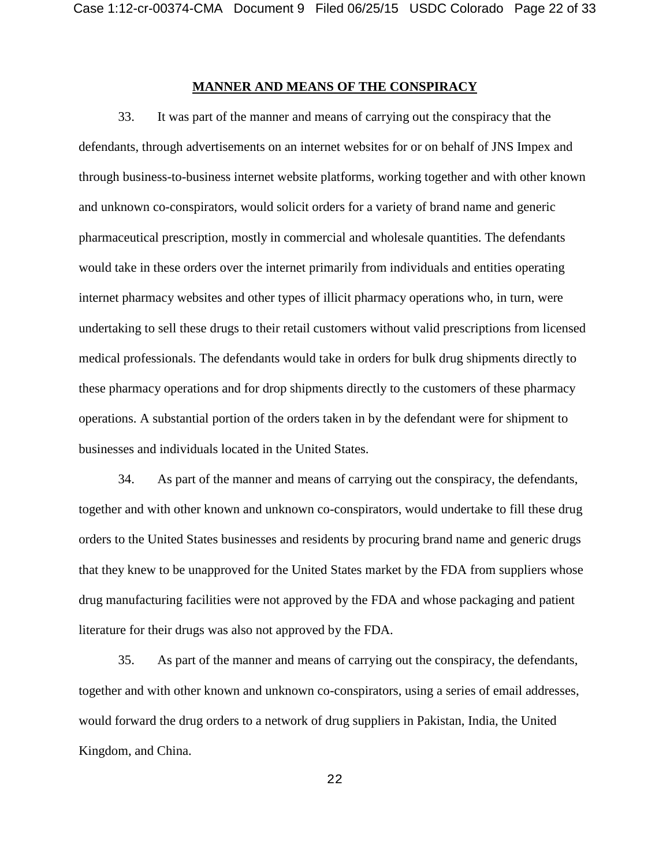#### **MANNER AND MEANS OF THE CONSPIRACY**

33. It was part of the manner and means of carrying out the conspiracy that the defendants, through advertisements on an internet websites for or on behalf of JNS Impex and through business-to-business internet website platforms, working together and with other known and unknown co-conspirators, would solicit orders for a variety of brand name and generic pharmaceutical prescription, mostly in commercial and wholesale quantities. The defendants would take in these orders over the internet primarily from individuals and entities operating internet pharmacy websites and other types of illicit pharmacy operations who, in turn, were undertaking to sell these drugs to their retail customers without valid prescriptions from licensed medical professionals. The defendants would take in orders for bulk drug shipments directly to these pharmacy operations and for drop shipments directly to the customers of these pharmacy operations. A substantial portion of the orders taken in by the defendant were for shipment to businesses and individuals located in the United States.

34. As part of the manner and means of carrying out the conspiracy, the defendants, together and with other known and unknown co-conspirators, would undertake to fill these drug orders to the United States businesses and residents by procuring brand name and generic drugs that they knew to be unapproved for the United States market by the FDA from suppliers whose drug manufacturing facilities were not approved by the FDA and whose packaging and patient literature for their drugs was also not approved by the FDA.

35. As part of the manner and means of carrying out the conspiracy, the defendants, together and with other known and unknown co-conspirators, using a series of email addresses, would forward the drug orders to a network of drug suppliers in Pakistan, India, the United Kingdom, and China.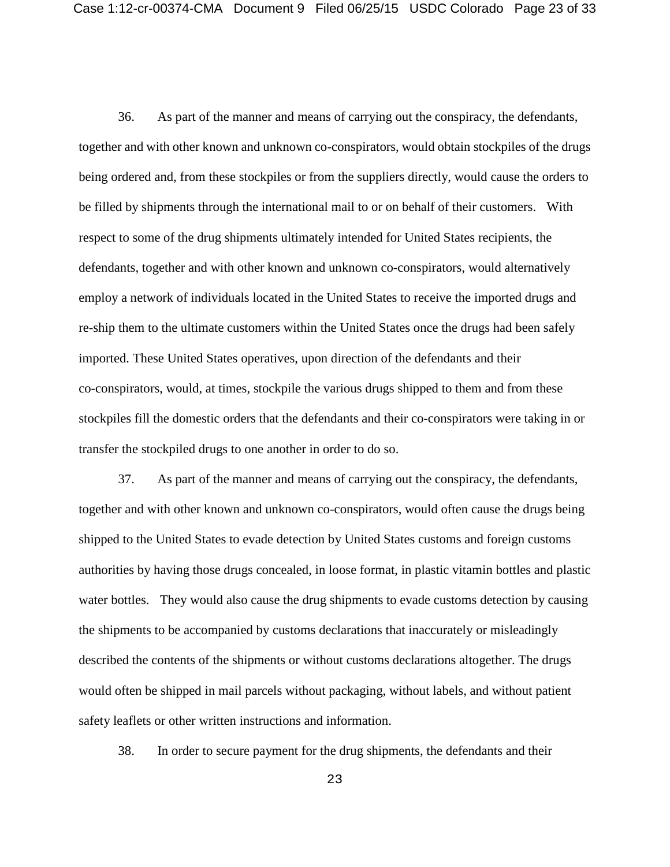36. As part of the manner and means of carrying out the conspiracy, the defendants, together and with other known and unknown co-conspirators, would obtain stockpiles of the drugs being ordered and, from these stockpiles or from the suppliers directly, would cause the orders to be filled by shipments through the international mail to or on behalf of their customers. With respect to some of the drug shipments ultimately intended for United States recipients, the defendants, together and with other known and unknown co-conspirators, would alternatively employ a network of individuals located in the United States to receive the imported drugs and re-ship them to the ultimate customers within the United States once the drugs had been safely imported. These United States operatives, upon direction of the defendants and their co-conspirators, would, at times, stockpile the various drugs shipped to them and from these stockpiles fill the domestic orders that the defendants and their co-conspirators were taking in or transfer the stockpiled drugs to one another in order to do so.

37. As part of the manner and means of carrying out the conspiracy, the defendants, together and with other known and unknown co-conspirators, would often cause the drugs being shipped to the United States to evade detection by United States customs and foreign customs authorities by having those drugs concealed, in loose format, in plastic vitamin bottles and plastic water bottles. They would also cause the drug shipments to evade customs detection by causing the shipments to be accompanied by customs declarations that inaccurately or misleadingly described the contents of the shipments or without customs declarations altogether. The drugs would often be shipped in mail parcels without packaging, without labels, and without patient safety leaflets or other written instructions and information.

38. In order to secure payment for the drug shipments, the defendants and their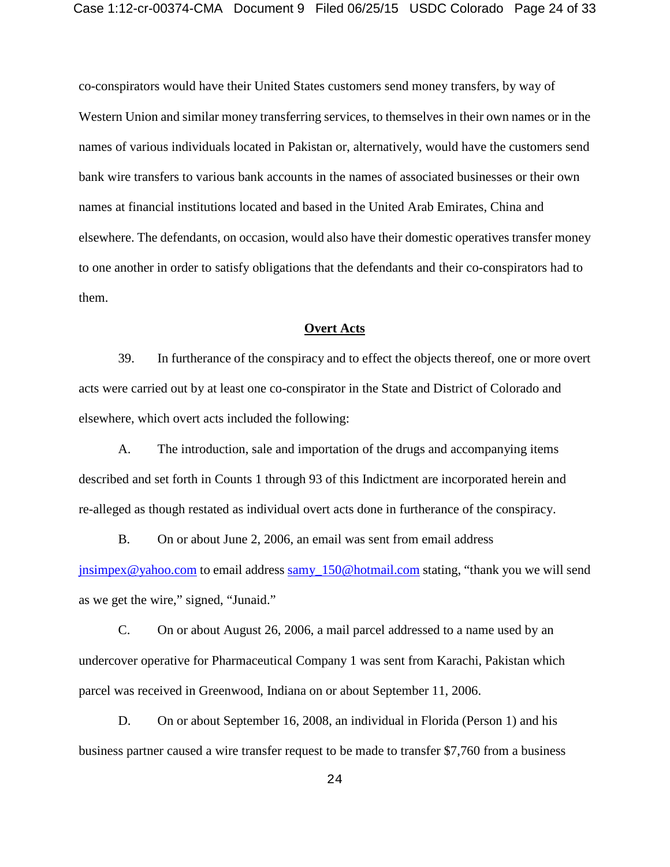co-conspirators would have their United States customers send money transfers, by way of Western Union and similar money transferring services, to themselves in their own names or in the names of various individuals located in Pakistan or, alternatively, would have the customers send bank wire transfers to various bank accounts in the names of associated businesses or their own names at financial institutions located and based in the United Arab Emirates, China and elsewhere. The defendants, on occasion, would also have their domestic operatives transfer money to one another in order to satisfy obligations that the defendants and their co-conspirators had to them.

#### **Overt Acts**

39. In furtherance of the conspiracy and to effect the objects thereof, one or more overt acts were carried out by at least one co-conspirator in the State and District of Colorado and elsewhere, which overt acts included the following:

A. The introduction, sale and importation of the drugs and accompanying items described and set forth in Counts 1 through 93 of this Indictment are incorporated herein and re-alleged as though restated as individual overt acts done in furtherance of the conspiracy.

B. On or about June 2, 2006, an email was sent from email address [jnsimpex@yahoo.com](mailto:jnsimpex@yahoo.com) to email address [samy\\_150@hotmail.com](mailto:samy_150@hotmail.com) stating, "thank you we will send as we get the wire," signed, "Junaid."

C. On or about August 26, 2006, a mail parcel addressed to a name used by an undercover operative for Pharmaceutical Company 1 was sent from Karachi, Pakistan which parcel was received in Greenwood, Indiana on or about September 11, 2006.

D. On or about September 16, 2008, an individual in Florida (Person 1) and his business partner caused a wire transfer request to be made to transfer \$7,760 from a business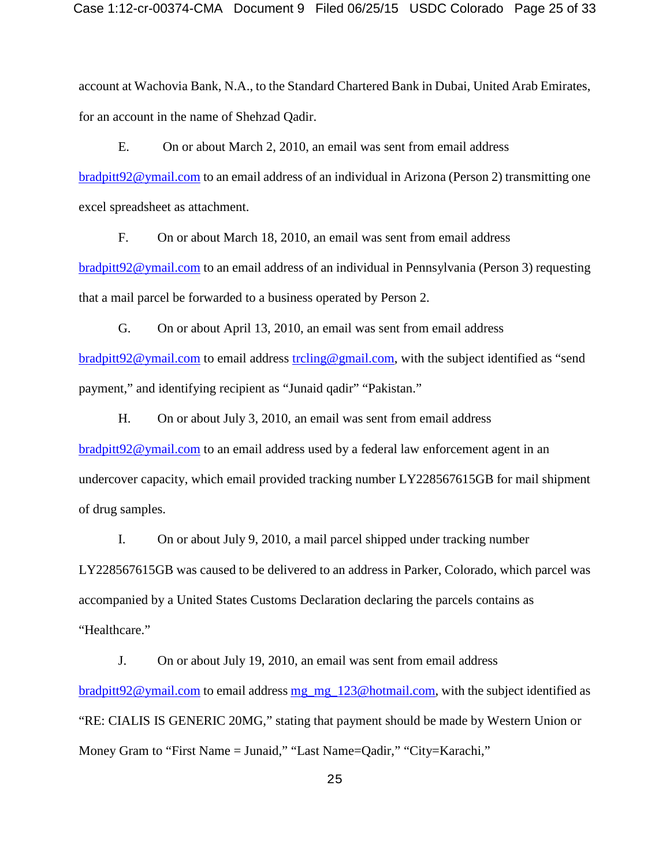account at Wachovia Bank, N.A., to the Standard Chartered Bank in Dubai, United Arab Emirates, for an account in the name of Shehzad Qadir.

E. On or about March 2, 2010, an email was sent from email address [bradpitt92@ymail.com](mailto:bradpitt92@ymail.com) to an email address of an individual in Arizona (Person 2) transmitting one excel spreadsheet as attachment.

F. On or about March 18, 2010, an email was sent from email address [bradpitt92@ymail.com](mailto:bradpitt92@ymail.com) to an email address of an individual in Pennsylvania (Person 3) requesting that a mail parcel be forwarded to a business operated by Person 2.

G. On or about April 13, 2010, an email was sent from email address [bradpitt92@ymail.com](mailto:bradpitt92@ymail.com) to email address [trcling@gmail.com,](mailto:trcling@gmail.com) with the subject identified as "send payment," and identifying recipient as "Junaid qadir" "Pakistan."

H. On or about July 3, 2010, an email was sent from email address [bradpitt92@ymail.com](mailto:bradpitt92@ymail.com) to an email address used by a federal law enforcement agent in an undercover capacity, which email provided tracking number LY228567615GB for mail shipment of drug samples.

I. On or about July 9, 2010, a mail parcel shipped under tracking number LY228567615GB was caused to be delivered to an address in Parker, Colorado, which parcel was accompanied by a United States Customs Declaration declaring the parcels contains as "Healthcare."

J. On or about July 19, 2010, an email was sent from email address [bradpitt92@ymail.com](mailto:bradpitt92@ymail.com) to email address [mg\\_mg\\_123@hotmail.com,](mailto:mg_mg_123@hotmail.com) with the subject identified as "RE: CIALIS IS GENERIC 20MG," stating that payment should be made by Western Union or Money Gram to "First Name = Junaid," "Last Name=Qadir," "City=Karachi,"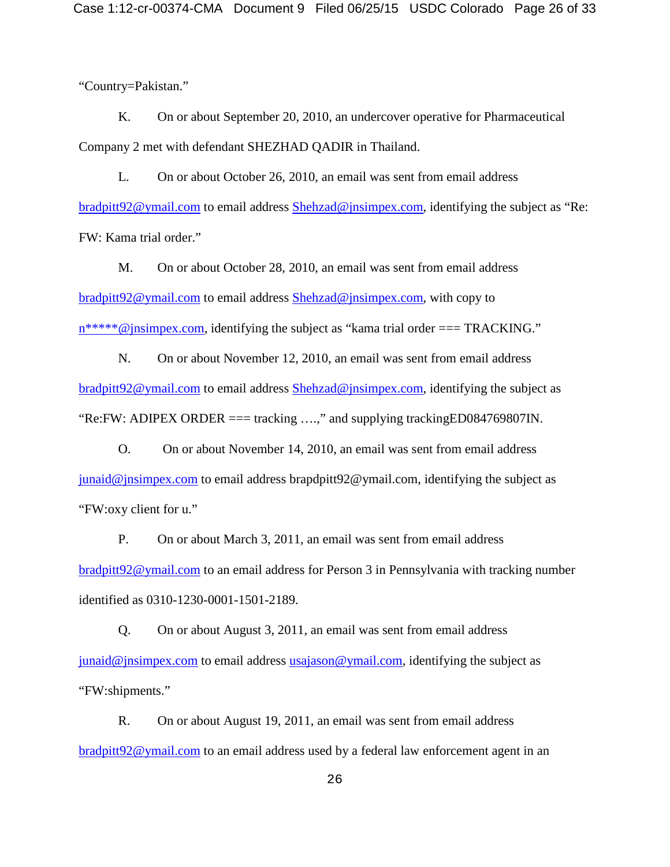"Country=Pakistan."

K. On or about September 20, 2010, an undercover operative for Pharmaceutical Company 2 met with defendant SHEZHAD QADIR in Thailand.

L. On or about October 26, 2010, an email was sent from email address [bradpitt92@ymail.com](mailto:bradpitt92@ymail.com) to email address [Shehzad@jnsimpex.com,](mailto:Shehzad@jnsimpex.com) identifying the subject as "Re: FW: Kama trial order."

M. On or about October 28, 2010, an email was sent from email address [bradpitt92@ymail.com](mailto:bradpitt92@ymail.com) to email address [Shehzad@jnsimpex.com,](mailto:Shehzad@jnsimpex.com) with copy to [n\\*\\*\\*\\*\\*@jnsimpex.com,](mailto:n*****@jnsimpex.com) identifying the subject as "kama trial order === TRACKING."

N. On or about November 12, 2010, an email was sent from email address [bradpitt92@ymail.com](mailto:bradpitt92@ymail.com) to email address [Shehzad@jnsimpex.com,](mailto:Shehzad@jnsimpex.com) identifying the subject as "Re:FW: ADIPEX ORDER  $==$  tracking ....," and supplying tracking ED084769807IN.

O. On or about November 14, 2010, an email was sent from email address  $j$ unaid@jnsimpex.com to email address brapdpitt $92@$ ymail.com, identifying the subject as "FW:oxy client for u."

P. On or about March 3, 2011, an email was sent from email address [bradpitt92@ymail.com](mailto:bradpitt92@ymail.com) to an email address for Person 3 in Pennsylvania with tracking number identified as 0310-1230-0001-1501-2189.

Q. On or about August 3, 2011, an email was sent from email address [junaid@jnsimpex.com](mailto:junaid@jnsimpex.com) to email address [usajason@ymail.com,](mailto:usajason@ymail.com) identifying the subject as "FW:shipments."

R. On or about August 19, 2011, an email was sent from email address [bradpitt92@ymail.com](mailto:bradpitt92@ymail.com) to an email address used by a federal law enforcement agent in an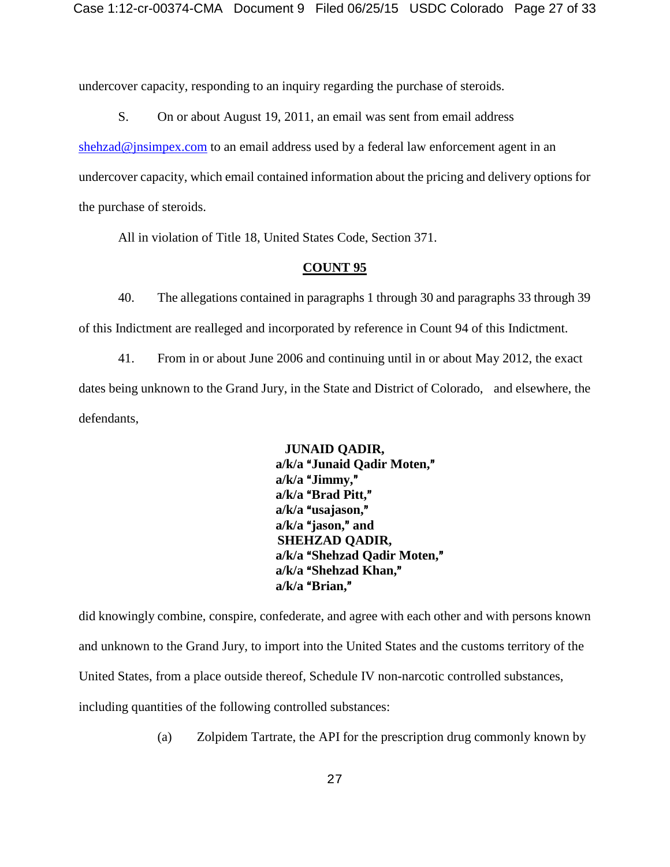undercover capacity, responding to an inquiry regarding the purchase of steroids.

S. On or about August 19, 2011, an email was sent from email address

[shehzad@jnsimpex.com](mailto:shehzad@jnsimpex.com) to an email address used by a federal law enforcement agent in an

undercover capacity, which email contained information about the pricing and delivery options for the purchase of steroids.

All in violation of Title 18, United States Code, Section 371.

#### **COUNT 95**

40. The allegations contained in paragraphs 1 through 30 and paragraphs 33 through 39 of this Indictment are realleged and incorporated by reference in Count 94 of this Indictment.

41. From in or about June 2006 and continuing until in or about May 2012, the exact dates being unknown to the Grand Jury, in the State and District of Colorado, and elsewhere, the defendants,

> **JUNAID QADIR,**  a/k/a "Junaid Qadir Moten," a/k/a "Jimmy," a/k/a "Brad Pitt," a/k/a "usajason," a/k/a "jason," and **SHEHZAD QADIR,** a/k/a "Shehzad Qadir Moten," a/k/a "Shehzad Khan," a/k/a "Brian."

did knowingly combine, conspire, confederate, and agree with each other and with persons known and unknown to the Grand Jury, to import into the United States and the customs territory of the United States, from a place outside thereof, Schedule IV non-narcotic controlled substances, including quantities of the following controlled substances:

(a) Zolpidem Tartrate, the API for the prescription drug commonly known by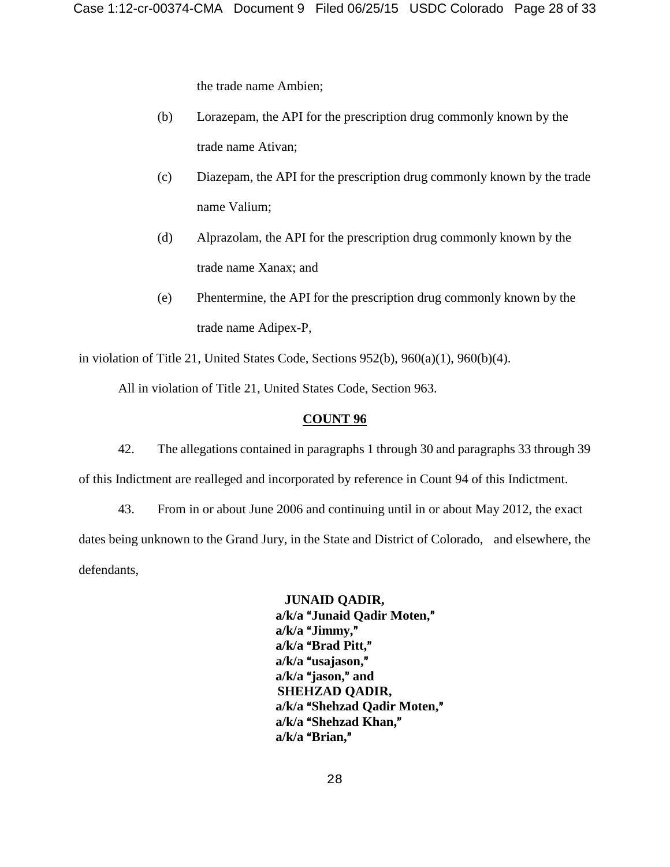the trade name Ambien;

- (b) Lorazepam, the API for the prescription drug commonly known by the trade name Ativan;
- (c) Diazepam, the API for the prescription drug commonly known by the trade name Valium;
- (d) Alprazolam, the API for the prescription drug commonly known by the trade name Xanax; and
- (e) Phentermine, the API for the prescription drug commonly known by the trade name Adipex-P,

in violation of Title 21, United States Code, Sections 952(b), 960(a)(1), 960(b)(4).

All in violation of Title 21, United States Code, Section 963.

#### **COUNT 96**

42. The allegations contained in paragraphs 1 through 30 and paragraphs 33 through 39 of this Indictment are realleged and incorporated by reference in Count 94 of this Indictment.

43. From in or about June 2006 and continuing until in or about May 2012, the exact dates being unknown to the Grand Jury, in the State and District of Colorado, and elsewhere, the defendants,

> **JUNAID QADIR,**  a/k/a "Junaid Qadir Moten," a/k/a "Jimmy," a/k/a "Brad Pitt," a/k/a "usajason," a/k/a "jason," and **SHEHZAD QADIR,** a/k/a "Shehzad Qadir Moten," a/k/a "Shehzad Khan," a/k/a "Brian,"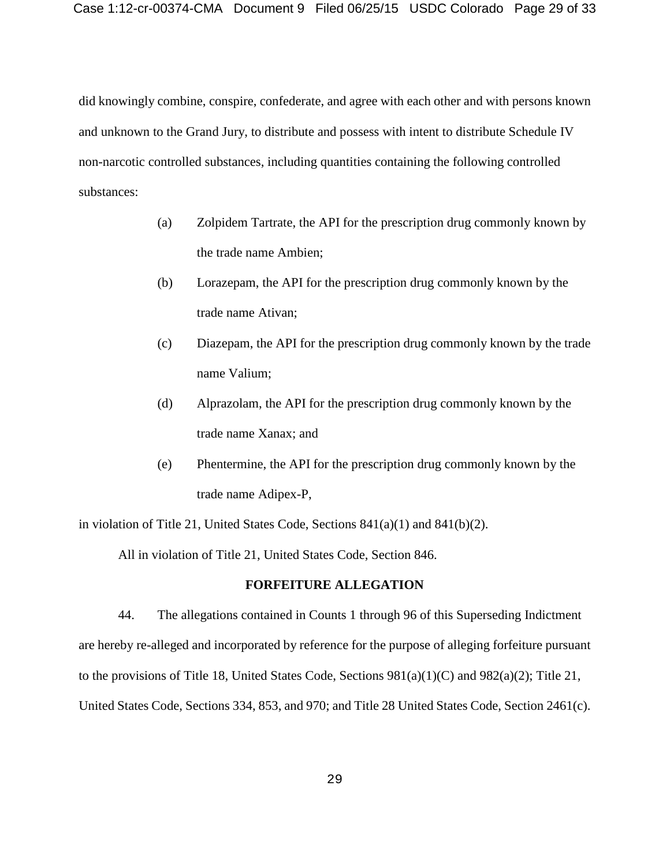did knowingly combine, conspire, confederate, and agree with each other and with persons known and unknown to the Grand Jury, to distribute and possess with intent to distribute Schedule IV non-narcotic controlled substances, including quantities containing the following controlled substances:

- (a) Zolpidem Tartrate, the API for the prescription drug commonly known by the trade name Ambien;
- (b) Lorazepam, the API for the prescription drug commonly known by the trade name Ativan;
- (c) Diazepam, the API for the prescription drug commonly known by the trade name Valium;
- (d) Alprazolam, the API for the prescription drug commonly known by the trade name Xanax; and
- (e) Phentermine, the API for the prescription drug commonly known by the trade name Adipex-P,

in violation of Title 21, United States Code, Sections  $841(a)(1)$  and  $841(b)(2)$ .

All in violation of Title 21, United States Code, Section 846.

#### **FORFEITURE ALLEGATION**

44. The allegations contained in Counts 1 through 96 of this Superseding Indictment are hereby re-alleged and incorporated by reference for the purpose of alleging forfeiture pursuant to the provisions of Title 18, United States Code, Sections  $981(a)(1)(C)$  and  $982(a)(2)$ ; Title 21, United States Code, Sections 334, 853, and 970; and Title 28 United States Code, Section 2461(c).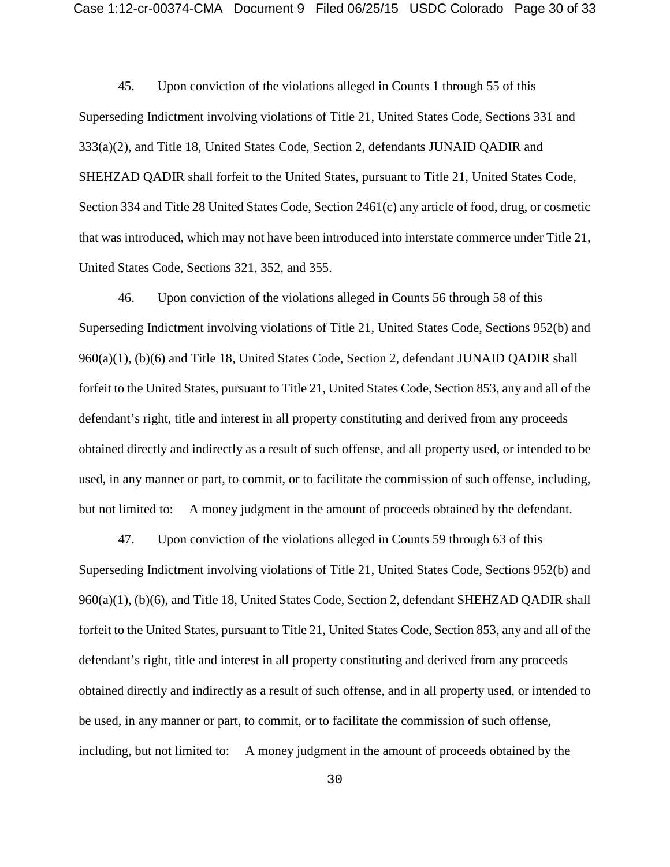45. Upon conviction of the violations alleged in Counts 1 through 55 of this Superseding Indictment involving violations of Title 21, United States Code, Sections 331 and 333(a)(2), and Title 18, United States Code, Section 2, defendants JUNAID QADIR and SHEHZAD QADIR shall forfeit to the United States, pursuant to Title 21, United States Code, Section 334 and Title 28 United States Code, Section 2461(c) any article of food, drug, or cosmetic that was introduced, which may not have been introduced into interstate commerce under Title 21, United States Code, Sections 321, 352, and 355.

46. Upon conviction of the violations alleged in Counts 56 through 58 of this Superseding Indictment involving violations of Title 21, United States Code, Sections 952(b) and 960(a)(1), (b)(6) and Title 18, United States Code, Section 2, defendant JUNAID QADIR shall forfeit to the United States, pursuant to Title 21, United States Code, Section 853, any and all of the defendant's right, title and interest in all property constituting and derived from any proceeds obtained directly and indirectly as a result of such offense, and all property used, or intended to be used, in any manner or part, to commit, or to facilitate the commission of such offense, including, but not limited to: A money judgment in the amount of proceeds obtained by the defendant.

47. Upon conviction of the violations alleged in Counts 59 through 63 of this Superseding Indictment involving violations of Title 21, United States Code, Sections 952(b) and 960(a)(1), (b)(6), and Title 18, United States Code, Section 2, defendant SHEHZAD QADIR shall forfeit to the United States, pursuant to Title 21, United States Code, Section 853, any and all of the defendant's right, title and interest in all property constituting and derived from any proceeds obtained directly and indirectly as a result of such offense, and in all property used, or intended to be used, in any manner or part, to commit, or to facilitate the commission of such offense, including, but not limited to: A money judgment in the amount of proceeds obtained by the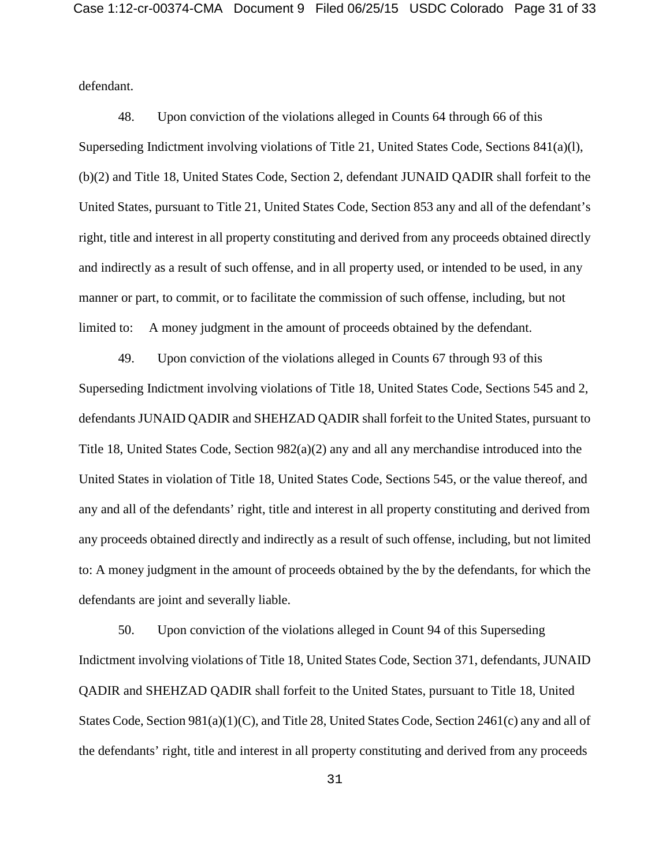defendant.

48. Upon conviction of the violations alleged in Counts 64 through 66 of this Superseding Indictment involving violations of Title 21, United States Code, Sections 841(a)(l), (b)(2) and Title 18, United States Code, Section 2, defendant JUNAID QADIR shall forfeit to the United States, pursuant to Title 21, United States Code, Section 853 any and all of the defendant's right, title and interest in all property constituting and derived from any proceeds obtained directly and indirectly as a result of such offense, and in all property used, or intended to be used, in any manner or part, to commit, or to facilitate the commission of such offense, including, but not limited to: A money judgment in the amount of proceeds obtained by the defendant.

49. Upon conviction of the violations alleged in Counts 67 through 93 of this Superseding Indictment involving violations of Title 18, United States Code, Sections 545 and 2, defendants JUNAID QADIR and SHEHZAD QADIR shall forfeit to the United States, pursuant to Title 18, United States Code, Section 982(a)(2) any and all any merchandise introduced into the United States in violation of Title 18, United States Code, Sections 545, or the value thereof, and any and all of the defendants' right, title and interest in all property constituting and derived from any proceeds obtained directly and indirectly as a result of such offense, including, but not limited to: A money judgment in the amount of proceeds obtained by the by the defendants, for which the defendants are joint and severally liable.

50. Upon conviction of the violations alleged in Count 94 of this Superseding Indictment involving violations of Title 18, United States Code, Section 371, defendants, JUNAID QADIR and SHEHZAD QADIR shall forfeit to the United States, pursuant to Title 18, United States Code, Section 981(a)(1)(C), and Title 28, United States Code, Section 2461(c) any and all of the defendants' right, title and interest in all property constituting and derived from any proceeds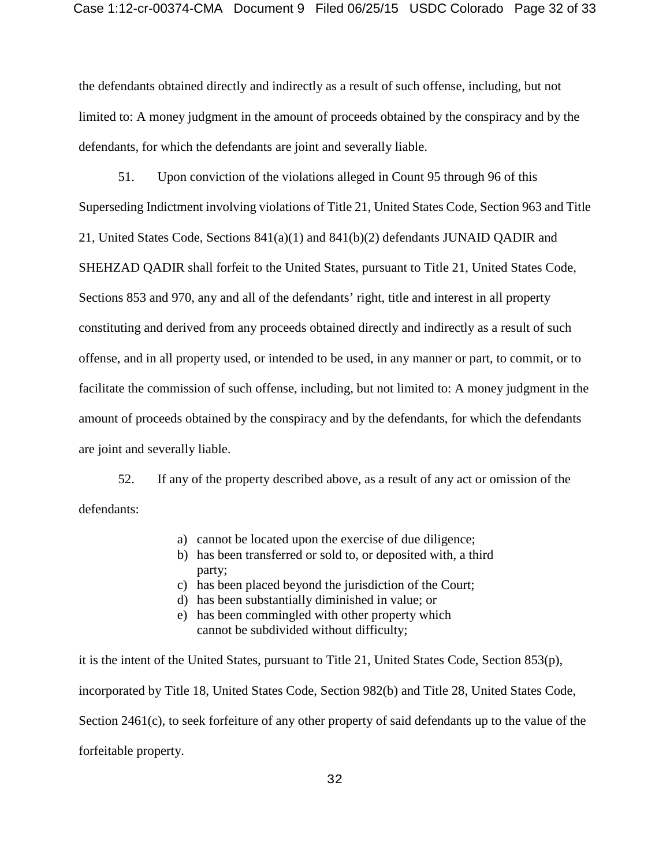the defendants obtained directly and indirectly as a result of such offense, including, but not limited to: A money judgment in the amount of proceeds obtained by the conspiracy and by the defendants, for which the defendants are joint and severally liable.

51. Upon conviction of the violations alleged in Count 95 through 96 of this Superseding Indictment involving violations of Title 21, United States Code, Section 963 and Title 21, United States Code, Sections 841(a)(1) and 841(b)(2) defendants JUNAID QADIR and SHEHZAD QADIR shall forfeit to the United States, pursuant to Title 21, United States Code, Sections 853 and 970, any and all of the defendants' right, title and interest in all property constituting and derived from any proceeds obtained directly and indirectly as a result of such offense, and in all property used, or intended to be used, in any manner or part, to commit, or to facilitate the commission of such offense, including, but not limited to: A money judgment in the amount of proceeds obtained by the conspiracy and by the defendants, for which the defendants are joint and severally liable.

52. If any of the property described above, as a result of any act or omission of the defendants:

- a) cannot be located upon the exercise of due diligence;
- b) has been transferred or sold to, or deposited with, a third party;
- c) has been placed beyond the jurisdiction of the Court;
- d) has been substantially diminished in value; or
- e) has been commingled with other property which cannot be subdivided without difficulty;

it is the intent of the United States, pursuant to Title 21, United States Code, Section 853(p), incorporated by Title 18, United States Code, Section 982(b) and Title 28, United States Code, Section 2461(c), to seek forfeiture of any other property of said defendants up to the value of the forfeitable property.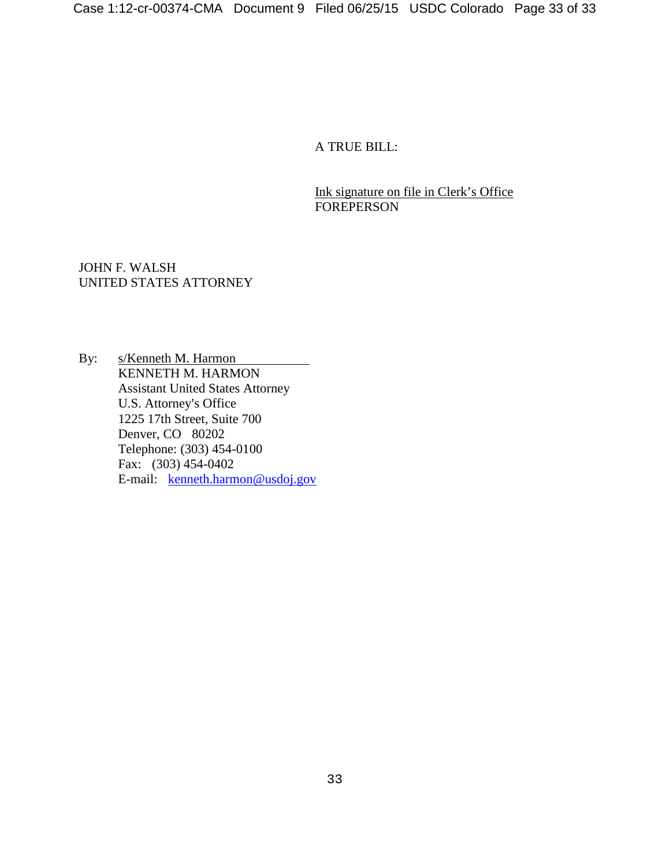A TRUE BILL:

Ink signature on file in Clerk's Office **FOREPERSON** 

JOHN F. WALSH UNITED STATES ATTORNEY

By: s/Kenneth M. Harmon KENNETH M. HARMON Assistant United States Attorney U.S. Attorney's Office 1225 17th Street, Suite 700 Denver, CO 80202 Telephone: (303) 454-0100 Fax: (303) 454-0402 E-mail: kenneth.harmon@usdoj.gov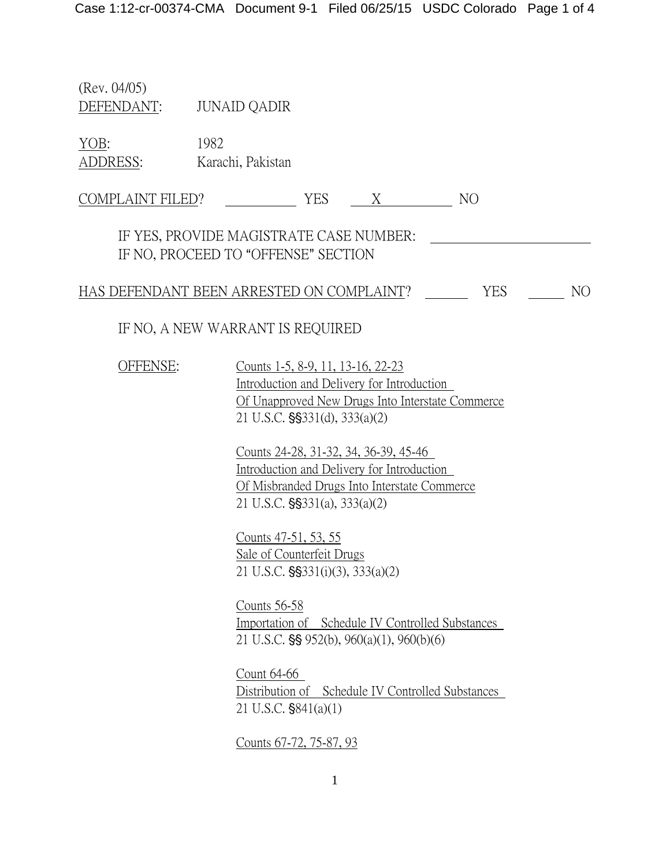(Rev. 04/05) DEFENDANT: JUNAID QADIR

YOB: 1982 ADDRESS: Karachi, Pakistan

COMPLAINT FILED? YES X NO

IF YES, PROVIDE MAGISTRATE CASE NUMBER: IF NO, PROCEED TO "OFFENSE" SECTION

HAS DEFENDANT BEEN ARRESTED ON COMPLAINT? YES YES NO

# IF NO, A NEW WARRANT IS REQUIRED

OFFENSE: Counts 1-5, 8-9, 11, 13-16, 22-23 Introduction and Delivery for Introduction Of Unapproved New Drugs Into Interstate Commerce  $21$  U.S.C.  $\frac{1}{5}$   $\frac{3331(d)}{333(a)(2)}$ 

> Counts 24-28, 31-32, 34, 36-39, 45-46 Introduction and Delivery for Introduction Of Misbranded Drugs Into Interstate Commerce  $21$  U.S.C.  $\frac{15}{3331(a)}$ ,  $\frac{333(a)(2)}{2}$

Counts 47-51, 53, 55 Sale of Counterfeit Drugs 21 U.S.C. §§331(i)(3), 333(a)(2)

Counts 56-58 Importation of Schedule IV Controlled Substances 21 U.S.C.  $\S$ § 952(b), 960(a)(1), 960(b)(6)

Count 64-66 Distribution of Schedule IV Controlled Substances  $21$  U.S.C.  $$841(a)(1)$ 

Counts 67-72, 75-87, 93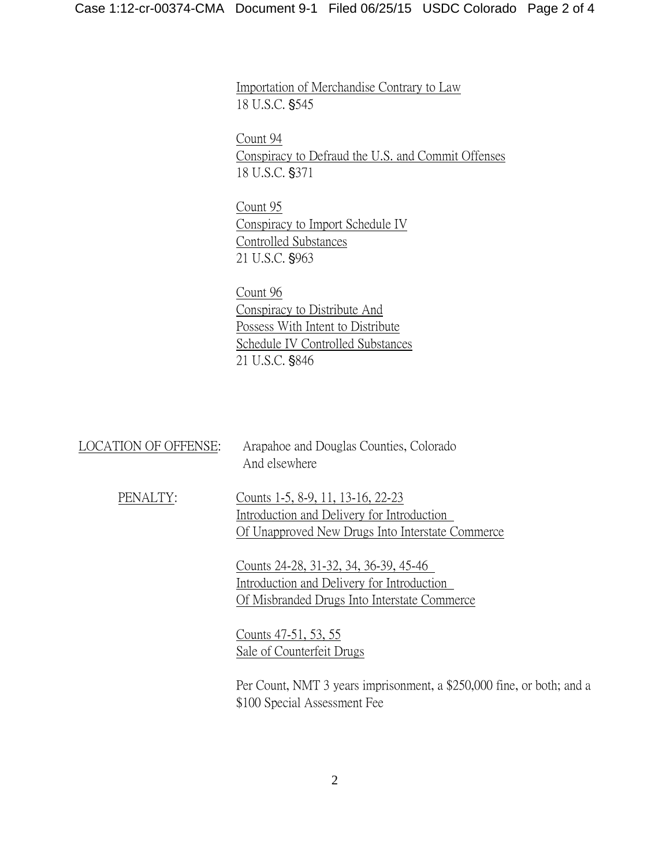Importation of Merchandise Contrary to Law 18 U.S.C. §545

Count 94 Conspiracy to Defraud the U.S. and Commit Offenses 18 U.S.C. §371

Count 95 Conspiracy to Import Schedule IV Controlled Substances 21 U.S.C. §963

Count 96 Conspiracy to Distribute And Possess With Intent to Distribute Schedule IV Controlled Substances 21 U.S.C. §846

| LOCATION OF OFFENSE: | Arapahoe and Douglas Counties, Colorado<br>And elsewhere                                                                            |
|----------------------|-------------------------------------------------------------------------------------------------------------------------------------|
| PENALTY:             | Counts 1-5, 8-9, 11, 13-16, 22-23<br>Introduction and Delivery for Introduction<br>Of Unapproved New Drugs Into Interstate Commerce |
|                      | Counts 24-28, 31-32, 34, 36-39, 45-46<br>Introduction and Delivery for Introduction<br>Of Misbranded Drugs Into Interstate Commerce |
|                      | Counts 47-51, 53, 55<br>Sale of Counterfeit Drugs                                                                                   |
|                      | Per Count, NMT 3 years imprisonment, a \$250,000 fine, or both; and a<br>\$100 Special Assessment Fee                               |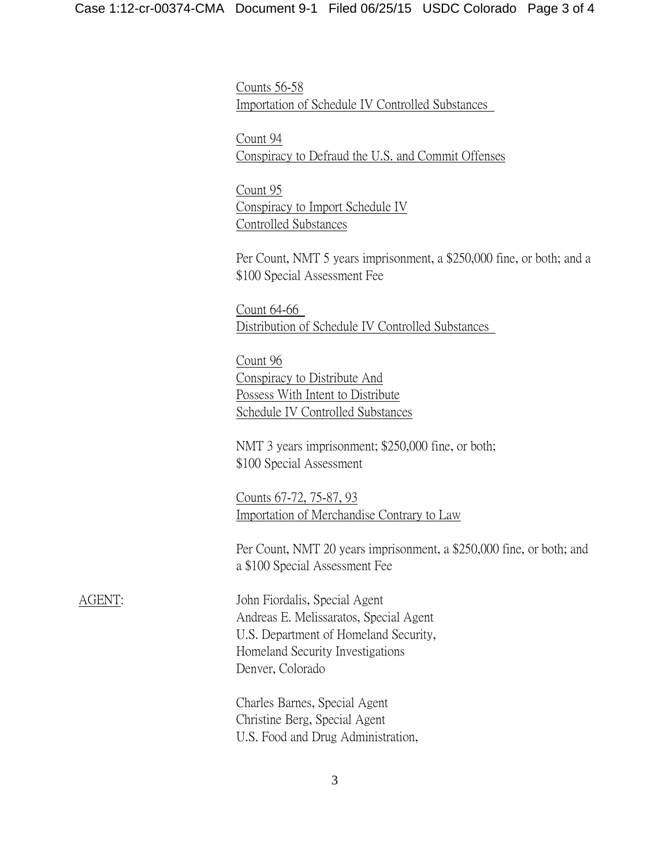Counts 56-58 Importation of Schedule IV Controlled Substances

Count 94 Conspiracy to Defraud the U.S. and Commit Offenses

Count 95 Conspiracy to Import Schedule IV Controlled Substances

Per Count, NMT 5 years imprisonment, a \$250,000 fine, or both; and a \$100 Special Assessment Fee

Count 64-66 Distribution of Schedule IV Controlled Substances

Count 96 Conspiracy to Distribute And Possess With Intent to Distribute Schedule IV Controlled Substances

NMT 3 years imprisonment; \$250,000 fine, or both; \$100 Special Assessment

Counts 67-72, 75-87, 93 Importation of Merchandise Contrary to Law

Per Count, NMT 20 years imprisonment, a \$250,000 fine, or both; and a \$100 Special Assessment Fee

AGENT: John Fiordalis, Special Agent Andreas E. Melissaratos, Special Agent U.S. Department of Homeland Security, Homeland Security Investigations Denver, Colorado

> Charles Barnes, Special Agent Christine Berg, Special Agent U.S. Food and Drug Administration,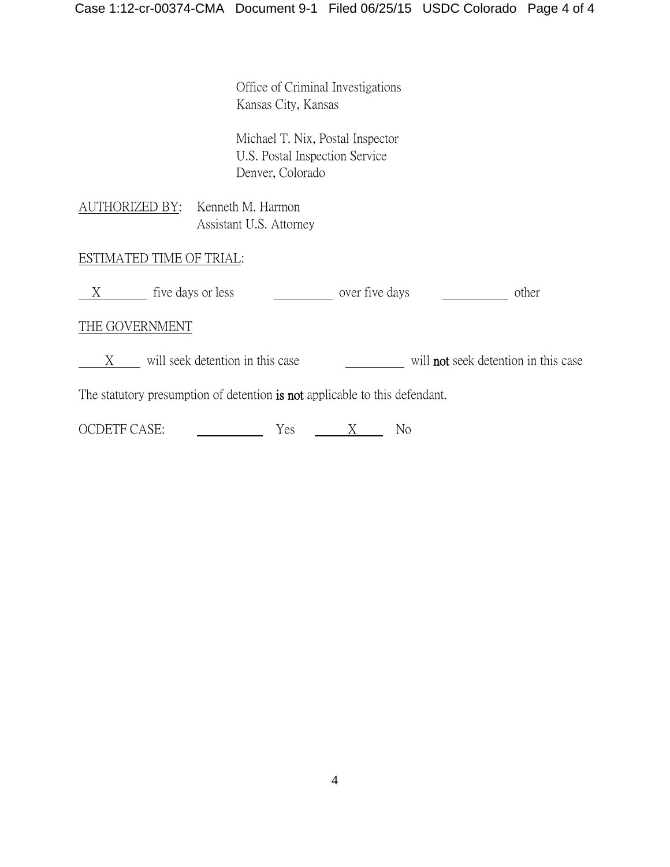Office of Criminal Investigations Kansas City, Kansas

Michael T. Nix, Postal Inspector U.S. Postal Inspection Service Denver, Colorado

AUTHORIZED BY: Kenneth M. Harmon Assistant U.S. Attorney

# ESTIMATED TIME OF TRIAL:

| tive days or less | over five days | other |
|-------------------|----------------|-------|
|                   |                |       |

## THE GOVERNMENT

X will seek detention in this case will **not** seek detention in this case

The statutory presumption of detention is not applicable to this defendant.

| <b>OCDETF CASE:</b> |  |  |  |
|---------------------|--|--|--|
|---------------------|--|--|--|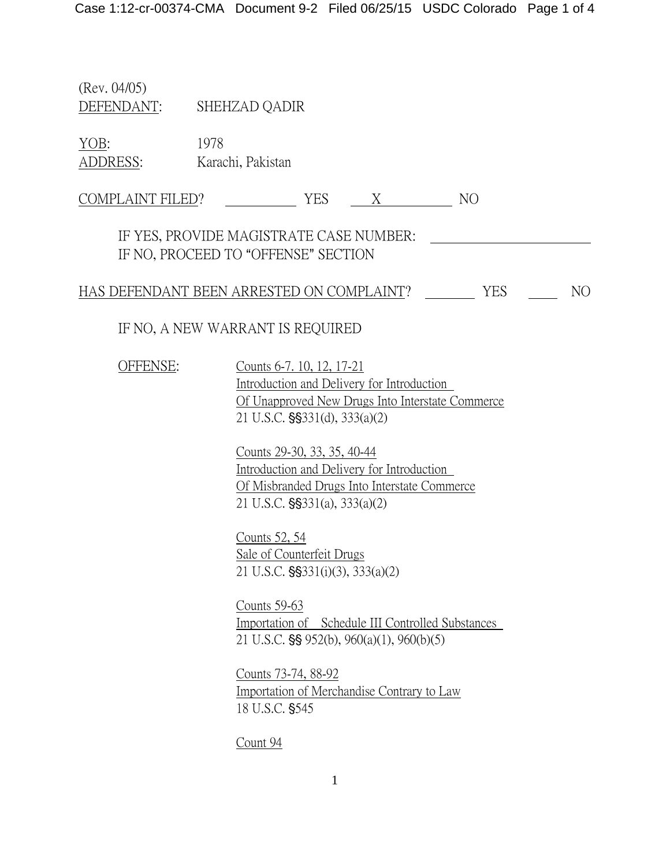(Rev. 04/05) DEFENDANT: SHEHZAD QADIR

YOB: 1978 ADDRESS: Karachi, Pakistan

COMPLAINT FILED? YES X NO

IF YES, PROVIDE MAGISTRATE CASE NUMBER: IF NO, PROCEED TO "OFFENSE" SECTION

HAS DEFENDANT BEEN ARRESTED ON COMPLAINT? YES NO

IF NO, A NEW WARRANT IS REQUIRED

OFFENSE: Counts 6-7. 10, 12, 17-21

Introduction and Delivery for Introduction Of Unapproved New Drugs Into Interstate Commerce  $21$  U.S.C.  $\frac{1}{5}$   $\frac{3331(d)}{333(a)(2)}$ 

Counts 29-30, 33, 35, 40-44 Introduction and Delivery for Introduction Of Misbranded Drugs Into Interstate Commerce  $21$  U.S.C.  $\frac{15}{3331(a)}$ ,  $\frac{333(a)(2)}{2}$ 

Counts 52, 54 Sale of Counterfeit Drugs 21 U.S.C.  $\frac{23331(i)(3)}{333(a)(2)}$ 

Counts 59-63 Importation of Schedule III Controlled Substances 21 U.S.C.  $\S$ § 952(b), 960(a)(1), 960(b)(5)

Counts 73-74, 88-92 Importation of Merchandise Contrary to Law 18 U.S.C. \$545

Count 94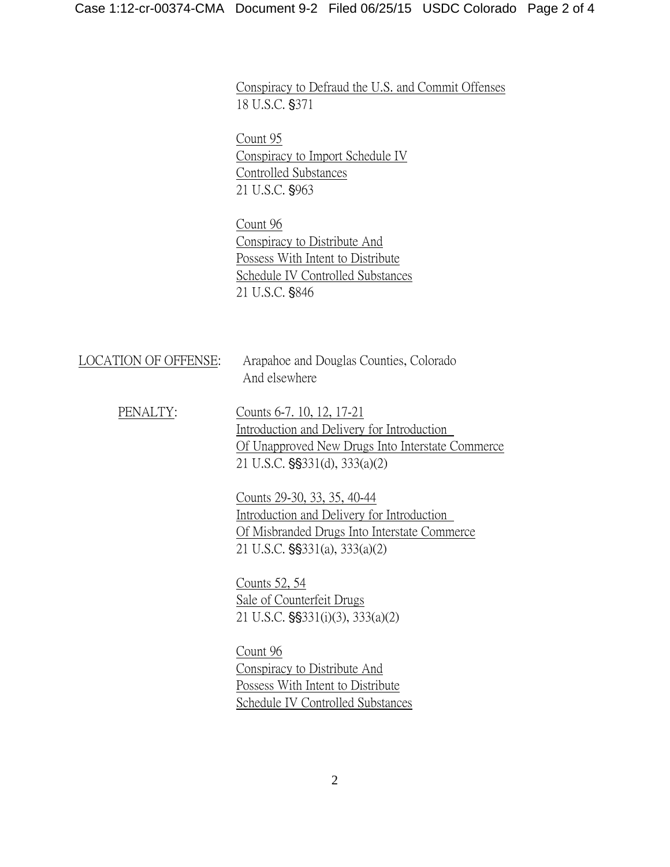Conspiracy to Defraud the U.S. and Commit Offenses 18 U.S.C. §371

Count 95 Conspiracy to Import Schedule IV Controlled Substances 21 U.S.C. §963

Count 96 Conspiracy to Distribute And Possess With Intent to Distribute Schedule IV Controlled Substances 21 U.S.C. §846

| LOCATION OF OFFENSE: | Arapahoe and Douglas Counties, Colorado<br>And elsewhere                                                                                                          |
|----------------------|-------------------------------------------------------------------------------------------------------------------------------------------------------------------|
| PENALTY:             | Counts 6-7, 10, 12, 17-21<br>Introduction and Delivery for Introduction<br>Of Unapproved New Drugs Into Interstate Commerce<br>21 U.S.C. $\S$ \$331(d), 333(a)(2) |
|                      | Counts 29-30, 33, 35, 40-44<br>Introduction and Delivery for Introduction<br>Of Misbranded Drugs Into Interstate Commerce<br>21 U.S.C. §§331(a), 333(a)(2)        |
|                      | Counts 52, 54<br>Sale of Counterfeit Drugs<br>21 U.S.C. $\S$ \$331(i)(3), 333(a)(2)                                                                               |
|                      | Count 96<br>Conspiracy to Distribute And                                                                                                                          |

Possess With Intent to Distribute Schedule IV Controlled Substances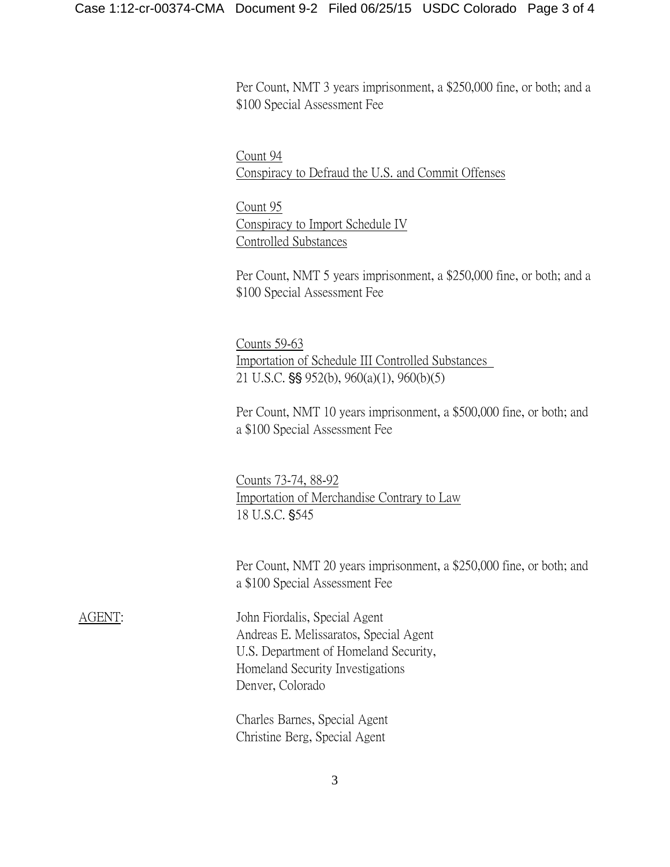Per Count, NMT 3 years imprisonment, a \$250,000 fine, or both; and a \$100 Special Assessment Fee

Count 94 Conspiracy to Defraud the U.S. and Commit Offenses

Count 95 Conspiracy to Import Schedule IV Controlled Substances

Per Count, NMT 5 years imprisonment, a \$250,000 fine, or both; and a \$100 Special Assessment Fee

Counts 59-63 Importation of Schedule III Controlled Substances 21 U.S.C.  $\S$ § 952(b), 960(a)(1), 960(b)(5)

Per Count, NMT 10 years imprisonment, a \$500,000 fine, or both; and a \$100 Special Assessment Fee

Counts 73-74, 88-92 Importation of Merchandise Contrary to Law 18 U.S.C. §545

Per Count, NMT 20 years imprisonment, a \$250,000 fine, or both; and a \$100 Special Assessment Fee

AGENT: John Fiordalis, Special Agent Andreas E. Melissaratos, Special Agent U.S. Department of Homeland Security, Homeland Security Investigations Denver, Colorado

> Charles Barnes, Special Agent Christine Berg, Special Agent